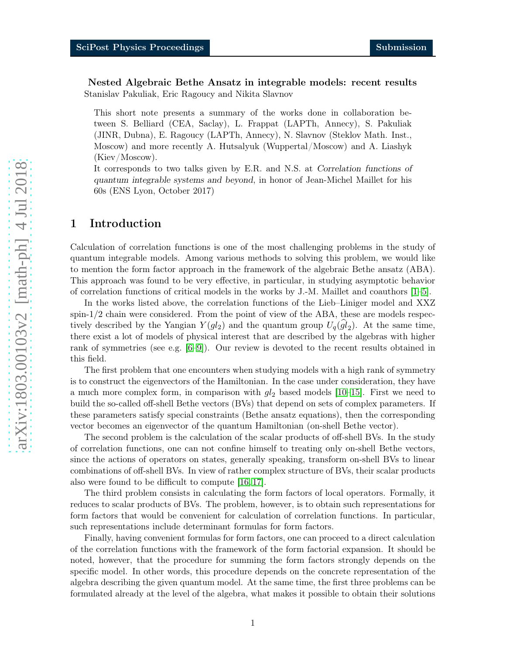Nested Algebraic Bethe Ansatz in integrable models: recent results Stanislav Pakuliak, Eric Ragoucy and Nikita Slavnov

This short note presents a summary of the works done in collaboration between S. Belliard (CEA, Saclay), L. Frappat (LAPTh, Annecy), S. Pakuliak (JINR, Dubna), E. Ragoucy (LAPTh, Annecy), N. Slavnov (Steklov Math. Inst., Moscow) and more recently A. Hutsalyuk (Wuppertal/Moscow) and A. Liashyk (Kiev/Moscow).

It corresponds to two talks given by E.R. and N.S. at Correlation functions of quantum integrable systems and beyond, in honor of Jean-Michel Maillet for his 60s (ENS Lyon, October 2017)

# 1 Introduction

Calculation of correlation functions is one of the most challenging problems in the study of quantum integrable models. Among various methods to solving this problem, we would like to mention the form factor approach in the framework of the algebraic Bethe ansatz (ABA). This approach was found to be very effective, in particular, in studying asymptotic behavior of correlation functions of critical models in the works by J.-M. Maillet and coauthors [\[1](#page-16-0)[–5\]](#page-17-0).

In the works listed above, the correlation functions of the Lieb–Liniger model and XXZ spin-1 / 2 chain were considered. From the point of view of the ABA, these are models respectively described by the Yangian  $Y(gl_2)$  and the quantum group  $U_q(gl_2)$ . At the same time, there exist a lot of models of physical interest that are described by the algebras with higher rank of symmetries (see e.g. [\[6](#page-17-1)[–9\]](#page-17-2)). Our review is devoted to the recent results obtained in this field.

The first problem that one encounters when studying models with a high rank of symmetry is to construct the eigenvectors of the Hamiltonian. In the case under consideration, they have a much more complex form, in comparison with  $gl_2$  based models [\[10](#page-17-3)[–15\]](#page-17-4). First we need to build the so-called off-shell Bethe vectors (BVs) that depend on sets of complex parameters. If these parameters satisfy special constraints (Bethe ansatz equations), then the corresponding vector becomes an eigenvector of the quantum Hamiltonian (on-shell Bethe vector).

The second problem is the calculation of the scalar products of off-shell BVs. In the study of correlation functions, one can not confine himself to treating only on-shell Bethe vectors, since the actions of operators on states, generally speaking, transform on-shell BVs to linear combinations of off-shell BVs. In view of rather complex structure of BVs, their scalar products also were found to be difficult to compute [\[16,](#page-17-5) [17\]](#page-17-6).

The third problem consists in calculating the form factors of local operators. Formally, it reduces to scalar products of BVs. The problem, however, is to obtain such representations for form factors that would be convenient for calculation of correlation functions. In particular, such representations include determinant formulas for form factors.

Finally, having convenient formulas for form factors, one can proceed to a direct calculation of the correlation functions with the framework of the form factorial expansion. It should be noted, however, that the procedure for summing the form factors strongly depends on the specific model. In other words, this procedure depends on the concrete representation of the algebra describing the given quantum model. At the same time, the first three problems can be formulated already at the level of the algebra, what makes it possible to obtain their solutions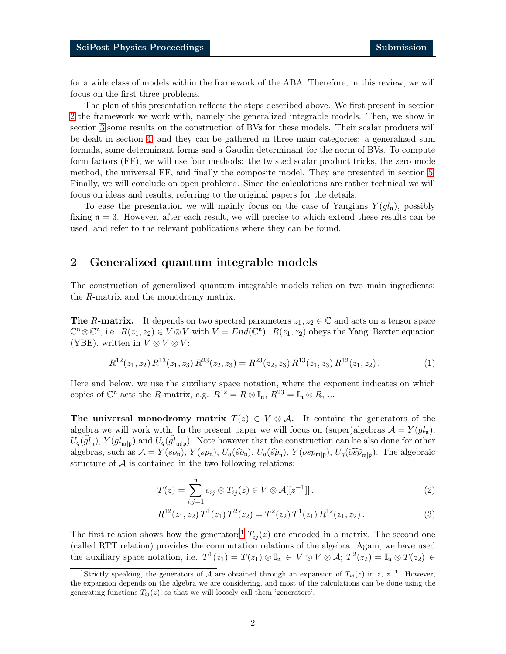for a wide class of models within the framework of the ABA. Therefore, in this review, we will focus on the first three problems.

The plan of this presentation reflects the steps described above. We first present in section [2](#page-1-0) the framework we work with, namely the generalized integrable models. Then, we show in section [3](#page-4-0) some results on the construction of BVs for these models. Their scalar products will be dealt in section [4,](#page-9-0) and they can be gathered in three main categories: a generalized sum formula, some determinant forms and a Gaudin determinant for the norm of BVs. To compute form factors (FF), we will use four methods: the twisted scalar product tricks, the zero mode method, the universal FF, and finally the composite model. They are presented in section [5.](#page-11-0) Finally, we will conclude on open problems. Since the calculations are rather technical we will focus on ideas and results, referring to the original papers for the details.

To ease the presentation we will mainly focus on the case of Yangians  $Y(ql_n)$ , possibly fixing  $n = 3$ . However, after each result, we will precise to which extend these results can be used, and refer to the relevant publications where they can be found.

# <span id="page-1-0"></span>2 Generalized quantum integrable models

The construction of generalized quantum integrable models relies on two main ingredients: the R-matrix and the monodromy matrix.

**The R-matrix.** It depends on two spectral parameters  $z_1, z_2 \in \mathbb{C}$  and acts on a tensor space  $\mathbb{C}^n \otimes \mathbb{C}^n$ , i.e.  $R(z_1, z_2) \in V \otimes V$  with  $V = End(\mathbb{C}^n)$ .  $R(z_1, z_2)$  obeys the Yang-Baxter equation (YBE), written in  $V \otimes V \otimes V$ :

$$
R^{12}(z_1, z_2) R^{13}(z_1, z_3) R^{23}(z_2, z_3) = R^{23}(z_2, z_3) R^{13}(z_1, z_3) R^{12}(z_1, z_2).
$$
 (1)

Here and below, we use the auxiliary space notation, where the exponent indicates on which copies of  $\mathbb{C}^{\mathfrak{n}}$  acts the *R*-matrix, e.g.  $R^{12} = R \otimes \mathbb{I}_{\mathfrak{n}}$ ,  $R^{23} = \mathbb{I}_{\mathfrak{n}} \otimes R$ , ...

The universal monodromy matrix  $T(z) \in V \otimes A$ . It contains the generators of the algebra we will work with. In the present paper we will focus on (super)algebras  $\mathcal{A} = Y(gl_n)$ ,  $U_q(gl_{\mathfrak{n}})$ ,  $Y(gl_{\mathfrak{m}}|_{\mathfrak{p}})$  and  $U_q(gl_{\mathfrak{m}}|_{\mathfrak{p}})$ . Note however that the construction can be also done for other algebras, such as  $\mathcal{A} = Y(s_{0n}), Y(sp_n), U_q(\widehat{so}_n), U_q(\widehat{sp}_n), Y(osp_{m|p}), U_q(\widehat{osp}_{m|p}).$  The algebraic structure of  $A$  is contained in the two following relations:

<span id="page-1-2"></span>
$$
T(z) = \sum_{i,j=1}^{n} e_{ij} \otimes T_{ij}(z) \in V \otimes \mathcal{A}[[z^{-1}]],
$$
\n(2)

$$
R^{12}(z_1, z_2) T^1(z_1) T^2(z_2) = T^2(z_2) T^1(z_1) R^{12}(z_1, z_2).
$$
 (3)

The first relation shows how the generators<sup>[1](#page-1-1)</sup>  $T_{ij}(z)$  are encoded in a matrix. The second one (called RTT relation) provides the commutation relations of the algebra. Again, we have used the auxiliary space notation, i.e.  $T^1(z_1) = T(z_1) \otimes \mathbb{I}_n \in V \otimes V \otimes A; T^2(z_2) = \mathbb{I}_n \otimes T(z_2) \in$ 

<span id="page-1-1"></span><sup>&</sup>lt;sup>1</sup>Strictly speaking, the generators of A are obtained through an expansion of  $T_{ij}(z)$  in z,  $z^{-1}$ . However, the expansion depends on the algebra we are considering, and most of the calculations can be done using the generating functions  $T_{ij}(z)$ , so that we will loosely call them 'generators'.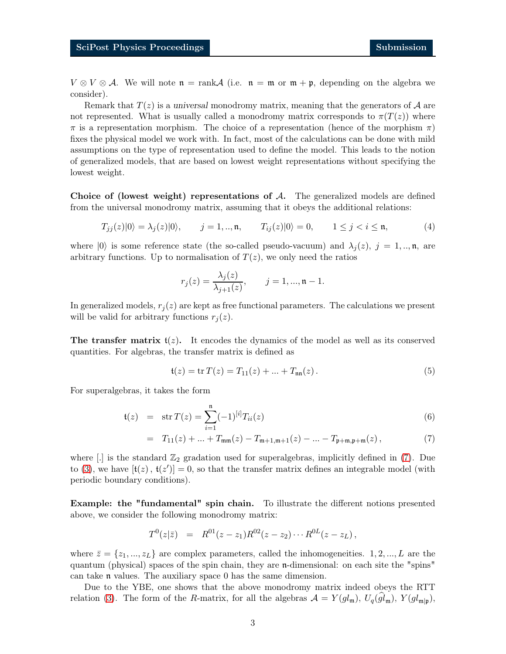$V \otimes V \otimes A$ . We will note  $\mathfrak{n} = \text{rank } A$  (i.e.  $\mathfrak{n} = \mathfrak{m}$  or  $\mathfrak{m} + \mathfrak{p}$ , depending on the algebra we consider).

Remark that  $T(z)$  is a universal monodromy matrix, meaning that the generators of A are not represented. What is usually called a monodromy matrix corresponds to  $\pi(T(z))$  where  $\pi$  is a representation morphism. The choice of a representation (hence of the morphism  $\pi$ ) fixes the physical model we work with. In fact, most of the calculations can be done with mild assumptions on the type of representation used to define the model. This leads to the notion of generalized models, that are based on lowest weight representations without specifying the lowest weight.

Choice of (lowest weight) representations of  $A$ . The generalized models are defined from the universal monodromy matrix, assuming that it obeys the additional relations:

<span id="page-2-1"></span>
$$
T_{jj}(z)|0\rangle = \lambda_j(z)|0\rangle, \qquad j = 1,..,\mathfrak{n}, \qquad T_{ij}(z)|0\rangle = 0, \qquad 1 \le j < i \le \mathfrak{n}, \tag{4}
$$

where  $|0\rangle$  is some reference state (the so-called pseudo-vacuum) and  $\lambda_i(z)$ ,  $j = 1, \dots, n$ , are arbitrary functions. Up to normalisation of  $T(z)$ , we only need the ratios

$$
r_j(z) = \frac{\lambda_j(z)}{\lambda_{j+1}(z)}, \qquad j = 1, ..., \mathfrak{n} - 1.
$$

In generalized models,  $r_i(z)$  are kept as free functional parameters. The calculations we present will be valid for arbitrary functions  $r_i(z)$ .

The transfer matrix  $t(z)$ . It encodes the dynamics of the model as well as its conserved quantities. For algebras, the transfer matrix is defined as

$$
\mathfrak{t}(z) = \text{tr}\, T(z) = T_{11}(z) + \dots + T_{\mathfrak{nn}}(z). \tag{5}
$$

For superalgebras, it takes the form

<span id="page-2-0"></span>
$$
t(z) = \operatorname{str} T(z) = \sum_{i=1}^{n} (-1)^{[i]} T_{ii}(z)
$$
\n(6)

$$
= T_{11}(z) + ... + T_{mm}(z) - T_{m+1,m+1}(z) - ... - T_{p+m,p+m}(z), \qquad (7)
$$

where  $\left[ . \right]$  is the standard  $\mathbb{Z}_2$  gradation used for superalgebras, implicitly defined in [\(7\)](#page-2-0). Due to [\(3\)](#page-1-2), we have  $[t(z), t(z')] = 0$ , so that the transfer matrix defines an integrable model (with periodic boundary conditions).

Example: the "fundamental" spin chain. To illustrate the different notions presented above, we consider the following monodromy matrix:

$$
T^0(z|\bar{z}) = R^{01}(z-z_1)R^{02}(z-z_2)\cdots R^{0L}(z-z_L),
$$

where  $\bar{z} = \{z_1, ..., z_L\}$  are complex parameters, called the inhomogeneities. 1, 2, ..., L are the quantum (physical) spaces of the spin chain, they are n-dimensional: on each site the "spins" can take n values. The auxiliary space 0 has the same dimension.

Due to the YBE, one shows that the above monodromy matrix indeed obeys the RTT relation [\(3\)](#page-1-2). The form of the R-matrix, for all the algebras  $A = Y(gl_m)$ ,  $U_q(gl_m)$ ,  $Y(gl_{m|\mathfrak{p}})$ ,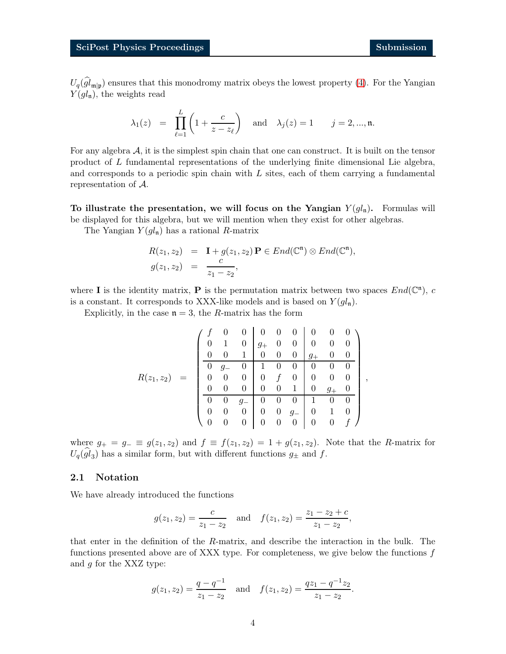$U_q(gl_{\mathfrak{m}|\mathfrak{p}})$  ensures that this monodromy matrix obeys the lowest property [\(4\)](#page-2-1). For the Yangian  $Y(gl_n)$ , the weights read

$$
\lambda_1(z) = \prod_{\ell=1}^L \left(1 + \frac{c}{z - z_{\ell}}\right)
$$
 and  $\lambda_j(z) = 1$   $j = 2, ..., n$ .

For any algebra  $A$ , it is the simplest spin chain that one can construct. It is built on the tensor product of L fundamental representations of the underlying finite dimensional Lie algebra, and corresponds to a periodic spin chain with  $L$  sites, each of them carrying a fundamental representation of A.

To illustrate the presentation, we will focus on the Yangian  $Y(gl_n)$ . Formulas will be displayed for this algebra, but we will mention when they exist for other algebras.

The Yangian  $Y(gl_n)$  has a rational R-matrix

$$
R(z_1, z_2) = \mathbf{I} + g(z_1, z_2) \mathbf{P} \in End(\mathbb{C}^n) \otimes End(\mathbb{C}^n),
$$
  
\n
$$
g(z_1, z_2) = \frac{c}{z_1 - z_2},
$$

where **I** is the identity matrix, **P** is the permutation matrix between two spaces  $End(\mathbb{C}^n)$ , c is a constant. It corresponds to XXX-like models and is based on  $Y(gl_n)$ .

Explicitly, in the case  $n = 3$ , the R-matrix has the form

$$
R(z_1, z_2) = \begin{pmatrix} f & 0 & 0 & 0 & 0 & 0 & 0 & 0 & 0 \\ 0 & 1 & 0 & g_+ & 0 & 0 & 0 & 0 & 0 \\ 0 & 0 & 1 & 0 & 0 & 0 & g_+ & 0 & 0 \\ \hline 0 & g_- & 0 & 1 & 0 & 0 & 0 & 0 & 0 \\ 0 & 0 & 0 & 0 & f & 0 & 0 & 0 & 0 \\ 0 & 0 & 0 & 0 & 0 & 1 & 0 & g_+ & 0 \\ 0 & 0 & g_- & 0 & 0 & 0 & 1 & 0 & 0 \\ 0 & 0 & 0 & 0 & 0 & 0 & 0 & 0 & f \end{pmatrix},
$$

where  $g_+ = g_- \equiv g(z_1, z_2)$  and  $f \equiv f(z_1, z_2) = 1 + g(z_1, z_2)$ . Note that the R-matrix for  $U_q(gl_3)$  has a similar form, but with different functions  $g_{\pm}$  and f.

### 2.1 Notation

We have already introduced the functions

$$
g(z_1, z_2) = \frac{c}{z_1 - z_2}
$$
 and  $f(z_1, z_2) = \frac{z_1 - z_2 + c}{z_1 - z_2}$ ,

that enter in the definition of the R-matrix, and describe the interaction in the bulk. The functions presented above are of XXX type. For completeness, we give below the functions  $f$ and g for the XXZ type:

$$
g(z_1, z_2) = \frac{q - q^{-1}}{z_1 - z_2}
$$
 and  $f(z_1, z_2) = \frac{qz_1 - q^{-1}z_2}{z_1 - z_2}$ .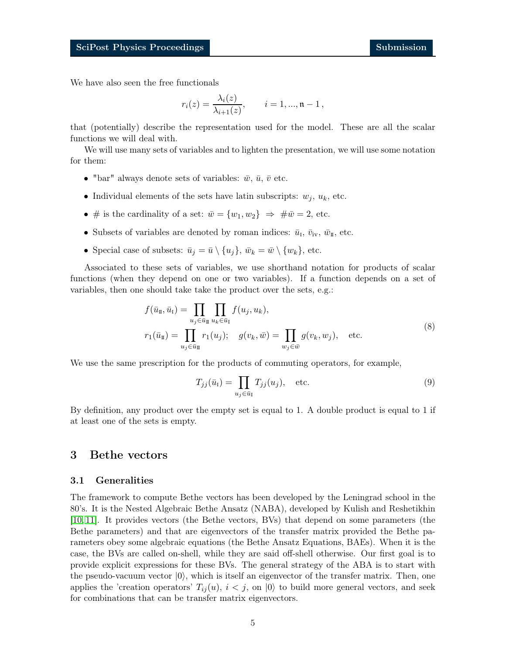We have also seen the free functionals

$$
r_i(z) = \frac{\lambda_i(z)}{\lambda_{i+1}(z)}, \qquad i = 1, ..., \mathfrak{n} - 1,
$$

that (potentially) describe the representation used for the model. These are all the scalar functions we will deal with.

We will use many sets of variables and to lighten the presentation, we will use some notation for them:

- "bar" always denote sets of variables:  $\bar{w}$ ,  $\bar{u}$ ,  $\bar{v}$  etc.
- Individual elements of the sets have latin subscripts:  $w_j$ ,  $u_k$ , etc.
- # is the cardinality of a set:  $\bar{w} = \{w_1, w_2\} \Rightarrow \#\bar{w} = 2$ , etc.
- Subsets of variables are denoted by roman indices:  $\bar{u}_{I}$ ,  $\bar{v}_{iv}$ ,  $\bar{w}_{II}$ , etc.
- Special case of subsets:  $\bar{u}_j = \bar{u} \setminus \{u_j\}, \bar{w}_k = \bar{w} \setminus \{w_k\},$  etc.

Associated to these sets of variables, we use shorthand notation for products of scalar functions (when they depend on one or two variables). If a function depends on a set of variables, then one should take take the product over the sets, e.g.:

$$
f(\bar{u}_{\mathbb{I}}, \bar{u}_{\mathbb{I}}) = \prod_{u_j \in \bar{u}_{\mathbb{I}}} \prod_{u_k \in \bar{u}_{\mathbb{I}}} f(u_j, u_k),
$$
  

$$
r_1(\bar{u}_{\mathbb{I}}) = \prod_{u_j \in \bar{u}_{\mathbb{I}}} r_1(u_j); \quad g(v_k, \bar{w}) = \prod_{w_j \in \bar{w}} g(v_k, w_j), \quad \text{etc.}
$$

$$
(8)
$$

We use the same prescription for the products of commuting operators, for example,

<span id="page-4-1"></span>
$$
T_{jj}(\bar{u}_I) = \prod_{u_j \in \bar{u}_I} T_{jj}(u_j), \quad \text{etc.}
$$
\n(9)

By definition, any product over the empty set is equal to 1. A double product is equal to 1 if at least one of the sets is empty.

## <span id="page-4-0"></span>3 Bethe vectors

#### 3.1 Generalities

The framework to compute Bethe vectors has been developed by the Leningrad school in the 80's. It is the Nested Algebraic Bethe Ansatz (NABA), developed by Kulish and Reshetikhin [\[10,](#page-17-3) [11\]](#page-17-7). It provides vectors (the Bethe vectors, BVs) that depend on some parameters (the Bethe parameters) and that are eigenvectors of the transfer matrix provided the Bethe parameters obey some algebraic equations (the Bethe Ansatz Equations, BAEs). When it is the case, the BVs are called on-shell, while they are said off-shell otherwise. Our first goal is to provide explicit expressions for these BVs. The general strategy of the ABA is to start with the pseudo-vacuum vector  $|0\rangle$ , which is itself an eigenvector of the transfer matrix. Then, one applies the 'creation operators'  $T_{ij}(u)$ ,  $i < j$ , on  $|0\rangle$  to build more general vectors, and seek for combinations that can be transfer matrix eigenvectors.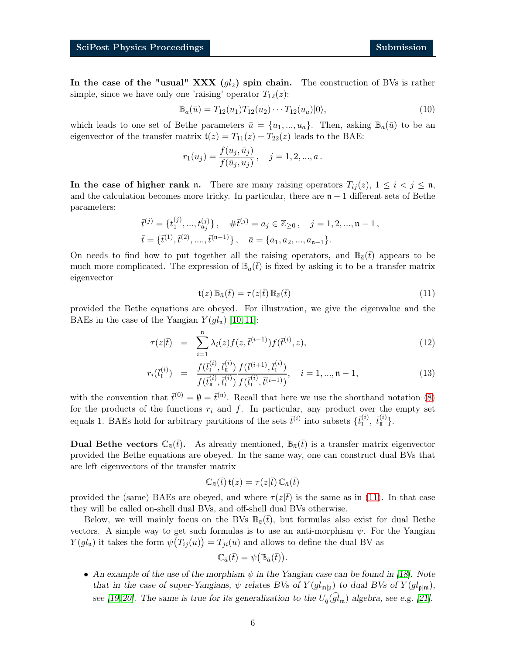In the case of the "usual" XXX  $(g_l)$  spin chain. The construction of BVs is rather simple, since we have only one 'raising' operator  $T_{12}(z)$ :

<span id="page-5-1"></span>
$$
\mathbb{B}_a(\bar{u}) = T_{12}(u_1) T_{12}(u_2) \cdots T_{12}(u_a) |0\rangle, \tag{10}
$$

which leads to one set of Bethe parameters  $\bar{u} = \{u_1, ..., u_a\}$ . Then, asking  $\mathbb{B}_a(\bar{u})$  to be an eigenvector of the transfer matrix  $\mathfrak{t}(z) = T_{11}(z) + T_{22}(z)$  leads to the BAE:

$$
r_1(u_j) = \frac{f(u_j, \bar{u}_j)}{f(\bar{u}_j, u_j)}, \quad j = 1, 2, ..., a.
$$

In the case of higher rank n. There are many raising operators  $T_{ij}(z)$ ,  $1 \leq i \leq j \leq n$ , and the calculation becomes more tricky. In particular, there are  $n - 1$  different sets of Bethe parameters:

$$
\begin{aligned}\n\bar{t}^{(j)} &= \{t_1^{(j)}, \dots, t_{a_j}^{(j)}\}, \quad \#\bar{t}^{(j)} = a_j \in \mathbb{Z}_{\geq 0} \,, \quad j = 1, 2, \dots, \mathfrak{n} - 1 \,, \\
\bar{t} &= \{\bar{t}^{(1)}, \bar{t}^{(2)}, \dots, \bar{t}^{(\mathfrak{n}-1)}\}, \quad \bar{a} = \{a_1, a_2, \dots, a_{\mathfrak{n}-1}\}.\n\end{aligned}
$$

On needs to find how to put together all the raising operators, and  $\mathbb{B}_{\bar{a}}(\bar{t})$  appears to be much more complicated. The expression of  $\mathbb{B}_{\bar{a}}(\bar{t})$  is fixed by asking it to be a transfer matrix eigenvector

<span id="page-5-0"></span>
$$
\mathfrak{t}(z)\,\mathbb{B}_{\bar{a}}(\bar{t}) = \tau(z|\bar{t})\,\mathbb{B}_{\bar{a}}(\bar{t})\tag{11}
$$

provided the Bethe equations are obeyed. For illustration, we give the eigenvalue and the BAEs in the case of the Yangian  $Y(gl_n)$  [\[10,](#page-17-3) [11\]](#page-17-7):

<span id="page-5-2"></span>
$$
\tau(z|\bar{t}) = \sum_{i=1}^{n} \lambda_i(z) f(z, \bar{t}^{(i-1)}) f(\bar{t}^{(i)}, z), \qquad (12)
$$

$$
r_i(\bar{t}_1^{(i)}) = \frac{f(\bar{t}_1^{(i)}, \bar{t}_1^{(i)})}{f(\bar{t}_1^{(i)}, \bar{t}_1^{(i)})} \frac{f(\bar{t}^{(i+1)}, \bar{t}_1^{(i)})}{f(\bar{t}_1^{(i)}, \bar{t}^{(i-1)})}, \quad i = 1, ..., n-1,
$$
\n(13)

with the convention that  $\bar{t}^{(0)} = \emptyset = \bar{t}^{(n)}$ . Recall that here we use the shorthand notation [\(8\)](#page-4-1) for the products of the functions  $r_i$  and f. In particular, any product over the empty set equals 1. BAEs hold for arbitrary partitions of the sets  $\bar{t}^{(i)}$  into subsets  $\{\bar{t}_i^{(i)}, \bar{t}_i^{(i)}\}.$ 

**Dual Bethe vectors**  $\mathbb{C}_{\bar{a}}(\bar{t})$ . As already mentioned,  $\mathbb{B}_{\bar{a}}(\bar{t})$  is a transfer matrix eigenvector provided the Bethe equations are obeyed. In the same way, one can construct dual BVs that are left eigenvectors of the transfer matrix

$$
\mathbb{C}_{\bar{a}}(\bar{t})\, \mathfrak{t}(z) = \tau(z|\bar{t})\, \mathbb{C}_{\bar{a}}(\bar{t})
$$

provided the (same) BAEs are obeyed, and where  $\tau(z|t)$  is the same as in [\(11\)](#page-5-0). In that case they will be called on-shell dual BVs, and off-shell dual BVs otherwise.

Below, we will mainly focus on the BVs  $\mathbb{B}_{\bar{a}}(\bar{t})$ , but formulas also exist for dual Bethe vectors. A simple way to get such formulas is to use an anti-morphism  $\psi$ . For the Yangian  $Y(gl_n)$  it takes the form  $\psi(T_{ij}(u)) = T_{ji}(u)$  and allows to define the dual BV as

$$
\mathbb{C}_{\bar{a}}(\bar{t}) = \psi(\mathbb{B}_{\bar{a}}(\bar{t})).
$$

• An example of the use of the morphism  $\psi$  in the Yangian case can be found in [\[18\]](#page-18-0). Note that in the case of super-Yangians,  $\psi$  relates BVs of  $Y(gl_{\mathfrak{m}|\mathfrak{p}})$  to dual BVs of  $Y(gl_{\mathfrak{p}|\mathfrak{m}})$ ,

see [\[19,](#page-18-1) [20\]](#page-18-2). The same is true for its generalization to the  $U_q(gl_{\mathfrak{m}})$  algebra, see e.g. [\[21\]](#page-18-3).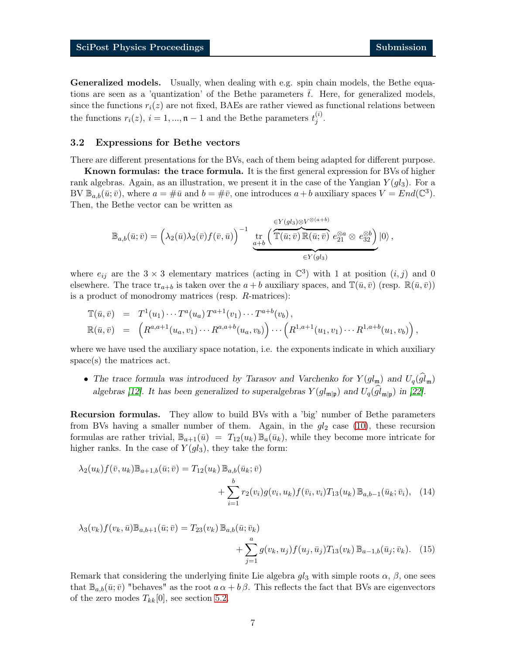Generalized models. Usually, when dealing with e.g. spin chain models, the Bethe equations are seen as a 'quantization' of the Bethe parameters  $\bar{t}$ . Here, for generalized models, since the functions  $r_i(z)$  are not fixed, BAEs are rather viewed as functional relations between the functions  $r_i(z)$ ,  $i = 1, ..., n-1$  and the Bethe parameters  $t_i^{(i)}$  $\stackrel{(i)}{j}$ .

#### <span id="page-6-2"></span>3.2 Expressions for Bethe vectors

There are different presentations for the BVs, each of them being adapted for different purpose.

Known formulas: the trace formula. It is the first general expression for BVs of higher rank algebras. Again, as an illustration, we present it in the case of the Yangian  $Y(ql_3)$ . For a BV  $\mathbb{B}_{a,b}(\bar{u}; \bar{v})$ , where  $a = \#\bar{u}$  and  $b = \#\bar{v}$ , one introduces  $a+b$  auxiliary spaces  $V = End(\mathbb{C}^3)$ . Then, the Bethe vector can be written as

$$
\mathbb{B}_{a,b}(\bar{u};\bar{v}) = \left(\lambda_2(\bar{u})\lambda_2(\bar{v})f(\bar{v},\bar{u})\right)^{-1} \underbrace{\operatorname{tr}_{a+b}\left(\overbrace{\mathbb{T}(\bar{u};\bar{v})}\mathbb{R}(\bar{u};\bar{v})\ e_{21}^{\otimes a}\otimes\ e_{32}^{\otimes b}\right)}_{\in Y(gl_3)}|0\rangle,
$$

where  $e_{ij}$  are the 3  $\times$  3 elementary matrices (acting in  $\mathbb{C}^3$ ) with 1 at position  $(i, j)$  and 0 elsewhere. The trace  $\text{tr}_{a+b}$  is taken over the  $a+b$  auxiliary spaces, and  $\mathbb{T}(\bar{u}, \bar{v})$  (resp.  $\mathbb{R}(\bar{u}, \bar{v})$ ) is a product of monodromy matrices (resp. R-matrices):

$$
\mathbb{T}(\bar{u}, \bar{v}) = T^1(u_1) \cdots T^a(u_a) T^{a+1}(v_1) \cdots T^{a+b}(v_b), \n\mathbb{R}(\bar{u}, \bar{v}) = \left( R^{a, a+1}(u_a, v_1) \cdots R^{a, a+b}(u_a, v_b) \right) \cdots \left( R^{1, a+1}(u_1, v_1) \cdots R^{1, a+b}(u_1, v_b) \right),
$$

where we have used the auxiliary space notation, i.e. the exponents indicate in which auxiliary space(s) the matrices act.

• The trace formula was introduced by Tarasov and Varchenko for  $Y(gl_m)$  and  $U_q(gl_m)$ algebras [\[12\]](#page-17-8). It has been generalized to superalgebras  $Y(gl_{\mathfrak{m}|\mathfrak{p}})$  and  $U_q(gl_{\mathfrak{m}|\mathfrak{p}})$  in [\[22\]](#page-18-4).

Recursion formulas. They allow to build BVs with a 'big' number of Bethe parameters from BVs having a smaller number of them. Again, in the  $gl_2$  case [\(10\)](#page-5-1), these recursion formulas are rather trivial,  $\mathbb{B}_{a+1}(\bar{u}) = T_{12}(u_k) \mathbb{B}_a(\bar{u}_k)$ , while they become more intricate for higher ranks. In the case of  $Y(ql_3)$ , they take the form:

<span id="page-6-0"></span>
$$
\lambda_2(u_k) f(\bar{v}, u_k) \mathbb{B}_{a+1,b}(\bar{u}; \bar{v}) = T_{12}(u_k) \mathbb{B}_{a,b}(\bar{u}_k; \bar{v}) + \sum_{i=1}^b r_2(v_i) g(v_i, u_k) f(\bar{v}_i, v_i) T_{13}(u_k) \mathbb{B}_{a,b-1}(\bar{u}_k; \bar{v}_i), \quad (14)
$$

<span id="page-6-1"></span>
$$
\lambda_3(v_k) f(v_k, \bar{u}) \mathbb{B}_{a,b+1}(\bar{u}; \bar{v}) = T_{23}(v_k) \mathbb{B}_{a,b}(\bar{u}; \bar{v}_k) + \sum_{j=1}^a g(v_k, u_j) f(u_j, \bar{u}_j) T_{13}(v_k) \mathbb{B}_{a-1,b}(\bar{u}_j; \bar{v}_k).
$$
(15)

Remark that considering the underlying finite Lie algebra  $gl_3$  with simple roots  $\alpha$ ,  $\beta$ , one sees that  $\mathbb{B}_{a,b}(\bar{u};\bar{v})$  "behaves" as the root  $a \alpha + b \beta$ . This reflects the fact that BVs are eigenvectors of the zero modes  $T_{kk}[0]$ , see section [5.2.](#page-12-0)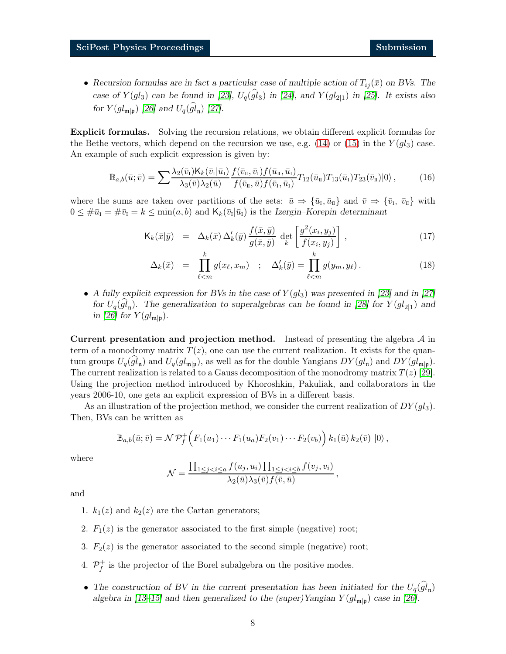• Recursion formulas are in fact a particular case of multiple action of  $T_{ij}(\bar{x})$  on BVs. The case of  $Y(gl_3)$  can be found in [\[23\]](#page-18-5),  $U_q(gl_3)$  in [\[24\]](#page-18-6), and  $Y(gl_{2|1})$  in [\[25\]](#page-18-7). It exists also for  $Y(gl_{\mathfrak{m}|\mathfrak{p}})$  [\[26\]](#page-18-8) and  $U_q(gl_{\mathfrak{n}})$  [\[27\]](#page-18-9).

Explicit formulas. Solving the recursion relations, we obtain different explicit formulas for the Bethe vectors, which depend on the recursion we use, e.g.  $(14)$  or  $(15)$  in the  $Y(ql_3)$  case. An example of such explicit expression is given by:

$$
\mathbb{B}_{a,b}(\bar{u};\bar{v}) = \sum \frac{\lambda_2(\bar{v}_1) \mathsf{K}_k(\bar{v}_1 | \bar{u}_1)}{\lambda_3(\bar{v}) \lambda_2(\bar{u})} \frac{f(\bar{v}_\pi, \bar{v}_1) f(\bar{u}_\pi, \bar{u}_1)}{f(\bar{v}_\pi, \bar{u}) f(\bar{v}_\pi, \bar{u}_1)} T_{12}(\bar{u}_\pi) T_{13}(\bar{u}_1) T_{23}(\bar{v}_\pi)|0\rangle, \tag{16}
$$

where the sums are taken over partitions of the sets:  $\bar{u} \Rightarrow {\bar{u}_I, \bar{u}_I}$  and  $\bar{v} \Rightarrow {\bar{v}_I, \bar{v}_I}$  with  $0 \leq \#\bar{u}_I = \#\bar{v}_I = k \leq \min(a, b)$  and  $\mathsf{K}_k(\bar{v}_I | \bar{u}_I)$  is the Izergin–Korepin determinant

<span id="page-7-1"></span><span id="page-7-0"></span>
$$
\mathsf{K}_{k}(\bar{x}|\bar{y}) = \Delta_{k}(\bar{x}) \Delta'_{k}(\bar{y}) \frac{f(\bar{x}, \bar{y})}{g(\bar{x}, \bar{y})} \det_{k} \left[ \frac{g^{2}(x_{i}, y_{j})}{f(x_{i}, y_{j})} \right], \qquad (17)
$$

$$
\Delta_k(\bar{x}) = \prod_{\ell \le m}^k g(x_\ell, x_m) \quad ; \quad \Delta'_k(\bar{y}) = \prod_{\ell \le m}^k g(y_m, y_\ell). \tag{18}
$$

• A fully explicit expression for BVs in the case of  $Y(gl_3)$  was presented in [\[23\]](#page-18-5) and in [\[27\]](#page-18-9) for  $U_q(gl_n)$ . The generalization to superalgebras can be found in [\[28\]](#page-18-10) for  $Y(gl_{2|1})$  and in [\[26\]](#page-18-8) for  $Y(gl_{\mathfrak{m}|\mathfrak{p}})$ .

Current presentation and projection method. Instead of presenting the algebra  $A$  in term of a monodromy matrix  $T(z)$ , one can use the current realization. It exists for the quantum groups  $U_q(gl_n)$  and  $U_q(gl_{m|\mathfrak{p}})$ , as well as for the double Yangians  $DY(gl_n)$  and  $DY(gl_{m|\mathfrak{p}})$ . The current realization is related to a Gauss decomposition of the monodromy matrix  $T(z)$  [\[29\]](#page-18-11). Using the projection method introduced by Khoroshkin, Pakuliak, and collaborators in the years 2006-10, one gets an explicit expression of BVs in a different basis.

As an illustration of the projection method, we consider the current realization of  $DY(ql_3)$ . Then, BVs can be written as

$$
\mathbb{B}_{a,b}(\bar{u};\bar{v})=\mathcal{N}\mathcal{P}_f^+\Big(F_1(u_1)\cdots F_1(u_a)F_2(v_1)\cdots F_2(v_b)\Big) k_1(\bar{u}) k_2(\bar{v})\,\ket{0},
$$

where

$$
\mathcal{N} = \frac{\prod_{1 \leq j < i \leq a} f(u_j, u_i) \prod_{1 \leq j < i \leq b} f(v_j, v_i)}{\lambda_2(\bar{u}) \lambda_3(\bar{v}) f(\bar{v}, \bar{u})},
$$

and

- 1.  $k_1(z)$  and  $k_2(z)$  are the Cartan generators;
- 2.  $F_1(z)$  is the generator associated to the first simple (negative) root;
- 3.  $F_2(z)$  is the generator associated to the second simple (negative) root;
- 4.  $\mathcal{P}_f^+$  is the projector of the Borel subalgebra on the positive modes.
- The construction of BV in the current presentation has been initiated for the  $U_q(gl_n)$ algebra in [\[13–](#page-17-9)[15\]](#page-17-4) and then generalized to the (super)Yangian  $Y(gl_{\mathfrak{m}|\mathfrak{p}})$  case in [\[26\]](#page-18-8).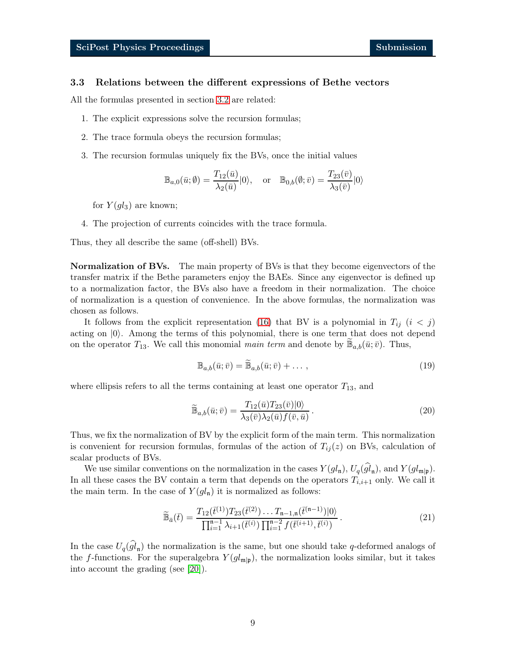#### 3.3 Relations between the different expressions of Bethe vectors

All the formulas presented in section [3.2](#page-6-2) are related:

- 1. The explicit expressions solve the recursion formulas;
- 2. The trace formula obeys the recursion formulas;
- 3. The recursion formulas uniquely fix the BVs, once the initial values

$$
\mathbb{B}_{a,0}(\bar{u};\emptyset) = \frac{T_{12}(\bar{u})}{\lambda_2(\bar{u})}|0\rangle, \quad \text{or} \quad \mathbb{B}_{0,b}(\emptyset;\bar{v}) = \frac{T_{23}(\bar{v})}{\lambda_3(\bar{v})}|0\rangle
$$

for  $Y(ql_3)$  are known;

4. The projection of currents coincides with the trace formula.

Thus, they all describe the same (off-shell) BVs.

**Normalization of BVs.** The main property of BVs is that they become eigenvectors of the transfer matrix if the Bethe parameters enjoy the BAEs. Since any eigenvector is defined up to a normalization factor, the BVs also have a freedom in their normalization. The choice of normalization is a question of convenience. In the above formulas, the normalization was chosen as follows.

It follows from the explicit representation [\(16\)](#page-7-0) that BV is a polynomial in  $T_{ij}$  ( $i < j$ ) acting on  $|0\rangle$ . Among the terms of this polynomial, there is one term that does not depend on the operator  $T_{13}$ . We call this monomial main term and denote by  $\widetilde{\mathbb{B}}_{a,b}(\bar{u};\bar{v})$ . Thus,

<span id="page-8-0"></span>
$$
\mathbb{B}_{a,b}(\bar{u};\bar{v}) = \widetilde{\mathbb{B}}_{a,b}(\bar{u};\bar{v}) + \dots,
$$
\n(19)

where ellipsis refers to all the terms containing at least one operator  $T_{13}$ , and

<span id="page-8-1"></span>
$$
\widetilde{\mathbb{B}}_{a,b}(\bar{u};\bar{v}) = \frac{T_{12}(\bar{u})T_{23}(\bar{v})|0\rangle}{\lambda_3(\bar{v})\lambda_2(\bar{u})f(\bar{v},\bar{u})}.
$$
\n(20)

Thus, we fix the normalization of BV by the explicit form of the main term. This normalization is convenient for recursion formulas, formulas of the action of  $T_{ii}(z)$  on BVs, calculation of scalar products of BVs.

We use similar conventions on the normalization in the cases  $Y(gl_n)$ ,  $U_q(gl_n)$ , and  $Y(gl_{m|\mathfrak{p}})$ . In all these cases the BV contain a term that depends on the operators  $T_{i,i+1}$  only. We call it the main term. In the case of  $Y(gl_n)$  it is normalized as follows:

$$
\widetilde{\mathbb{B}}_{\bar{a}}(\bar{t}) = \frac{T_{12}(\bar{t}^{(1)})T_{23}(\bar{t}^{(2)})\dots T_{n-1,n}(\bar{t}^{(n-1)})|0\rangle}{\prod_{i=1}^{n-1} \lambda_{i+1}(\bar{t}^{(i)})\prod_{i=1}^{n-2} f(\bar{t}^{(i+1)},\bar{t}^{(i)})}.
$$
\n(21)

In the case  $U_q(gl_n)$  the normalization is the same, but one should take q-deformed analogs of the f-functions. For the superalgebra  $Y(gl_{\mathfrak{m}|\mathfrak{p}})$ , the normalization looks similar, but it takes into account the grading (see [\[20\]](#page-18-2)).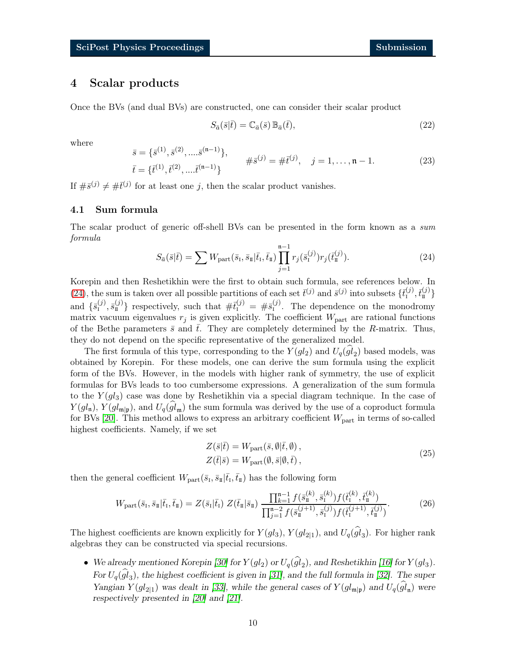# <span id="page-9-0"></span>4 Scalar products

Once the BVs (and dual BVs) are constructed, one can consider their scalar product

$$
S_{\bar{a}}(\bar{s}|\bar{t}) = \mathbb{C}_{\bar{a}}(\bar{s}) \mathbb{B}_{\bar{a}}(\bar{t}), \qquad (22)
$$

where

$$
\bar{s} = \{\bar{s}^{(1)}, \bar{s}^{(2)}, \dots, \bar{s}^{(n-1)}\},
$$
  
\n
$$
\bar{t} = \{\bar{t}^{(1)}, \bar{t}^{(2)}, \dots, \bar{t}^{(n-1)}\}
$$
  
\n
$$
\#\bar{s}^{(j)} = \#\bar{t}^{(j)}, \quad j = 1, \dots, n-1.
$$
\n(23)

If  $\#\bar{s}^{(j)} \neq \#\bar{t}^{(j)}$  for at least one j, then the scalar product vanishes.

## 4.1 Sum formula

<span id="page-9-1"></span>The scalar product of generic off-shell BVs can be presented in the form known as a sum formula

$$
S_{\bar{a}}(\bar{s}|\bar{t}) = \sum W_{\text{part}}(\bar{s}_{\text{I}}, \bar{s}_{\text{I}}|\bar{t}_{\text{I}}, \bar{t}_{\text{I}}) \prod_{j=1}^{\mathfrak{n}-1} r_j(\bar{s}_{\text{I}}^{(j)}) r_j(\bar{t}_{\text{I}}^{(j)}).
$$
 (24)

Korepin and then Reshetikhin were the first to obtain such formula, see references below. In [\(24\)](#page-9-1), the sum is taken over all possible partitions of each set  $\bar{t}^{(j)}$  and  $\bar{s}^{(j)}$  into subsets  $\{\bar{t}_1^{(j)}, \bar{t}_1^{(j)}\}$ and  $\{\bar{s}_I^{(j)}, \bar{s}_I^{(j)}\}$  respectively, such that  $\#\bar{t}_I^{(j)} = \#\bar{s}_I^{(j)}$ . The dependence on the monodromy matrix vacuum eigenvalues  $r_j$  is given explicitly. The coefficient  $W_{part}$  are rational functions of the Bethe parameters  $\bar{s}$  and t. They are completely determined by the R-matrix. Thus, they do not depend on the specific representative of the generalized model.

The first formula of this type, corresponding to the  $Y(gl_2)$  and  $U_q(gl_2)$  based models, was obtained by Korepin. For these models, one can derive the sum formula using the explicit form of the BVs. However, in the models with higher rank of symmetry, the use of explicit formulas for BVs leads to too cumbersome expressions. A generalization of the sum formula to the  $Y(gl_3)$  case was done by Reshetikhin via a special diagram technique. In the case of  $Y(gl_{\mathfrak{m}}), Y(gl_{\mathfrak{m}}|p),$  and  $U_q(gl_{\mathfrak{m}})$  the sum formula was derived by the use of a coproduct formula for BVs [\[20\]](#page-18-2). This method allows to express an arbitrary coefficient  $W_{part}$  in terms of so-called highest coefficients. Namely, if we set

$$
Z(\bar{s}|\bar{t}) = W_{\text{part}}(\bar{s}, \emptyset|\bar{t}, \emptyset),
$$
  
\n
$$
Z(\bar{t}|\bar{s}) = W_{\text{part}}(\emptyset, \bar{s}|\emptyset, \bar{t}),
$$
\n(25)

then the general coefficient  $W_{part}(\bar{s}_I, \bar{s}_{II}|\bar{t}_I, \bar{t}_{II})$  has the following form

$$
W_{\text{part}}(\bar{s}_{\text{I}}, \bar{s}_{\text{I}}|\bar{t}_{\text{I}}, \bar{t}_{\text{I}}) = Z(\bar{s}_{\text{I}}|\bar{t}_{\text{I}}) Z(\bar{t}_{\text{I}}|\bar{s}_{\text{I}}) \frac{\prod_{k=1}^{n-1} f(\bar{s}_{\text{I}}^{(k)}, \bar{s}_{\text{I}}^{(k)}) f(\bar{t}_{\text{I}}^{(k)}, \bar{t}_{\text{I}}^{(k)})}{\prod_{j=1}^{n-2} f(\bar{s}_{\text{I}}^{(j+1)}, \bar{s}_{\text{I}}^{(j)}) f(\bar{t}_{\text{I}}^{(j+1)}, \bar{t}_{\text{I}}^{(j)})}.
$$
(26)

The highest coefficients are known explicitly for  $Y(gl_3)$ ,  $Y(gl_{2|1})$ , and  $U_q(gl_3)$ . For higher rank algebras they can be constructed via special recursions.

• We already mentioned Korepin [\[30\]](#page-18-12) for  $Y(gl_2)$  or  $U_q(gl_2)$ , and Reshetikhin [\[16\]](#page-17-5) for  $Y(gl_3)$ . For  $U_q(gl_3)$ , the highest coefficient is given in [\[31\]](#page-18-13), and the full formula in [\[32\]](#page-19-0). The super Yangian  $Y(gl_{2|1})$  was dealt in [\[33\]](#page-19-1), while the general cases of  $Y(gl_{m|\mathfrak{p}})$  and  $U_q(gl_n)$  were respectively presented in [\[20\]](#page-18-2) and [\[21\]](#page-18-3).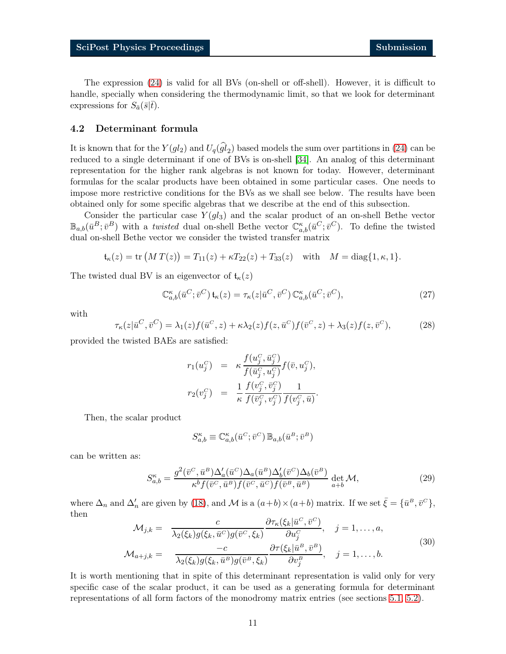The expression [\(24\)](#page-9-1) is valid for all BVs (on-shell or off-shell). However, it is difficult to handle, specially when considering the thermodynamic limit, so that we look for determinant expressions for  $S_{\bar{a}}(\bar{s}|\bar{t})$ .

### <span id="page-10-0"></span>4.2 Determinant formula

It is known that for the  $Y(gl_2)$  and  $U_q(gl_2)$  based models the sum over partitions in [\(24\)](#page-9-1) can be reduced to a single determinant if one of BVs is on-shell [\[34\]](#page-19-2). An analog of this determinant representation for the higher rank algebras is not known for today. However, determinant formulas for the scalar products have been obtained in some particular cases. One needs to impose more restrictive conditions for the BVs as we shall see below. The results have been obtained only for some specific algebras that we describe at the end of this subsection.

Consider the particular case  $Y(ql_3)$  and the scalar product of an on-shell Bethe vector  $\mathbb{B}_{a,b}(\bar{u}^B;\bar{v}^B)$  with a *twisted* dual on-shell Bethe vector  $\mathbb{C}_{a,b}^{\kappa}(\bar{u}^C;\bar{v}^C)$ . To define the twisted dual on-shell Bethe vector we consider the twisted transfer matrix

$$
\mathfrak{t}_{\kappa}(z) = \text{tr}\left(M\,T(z)\right) = T_{11}(z) + \kappa T_{22}(z) + T_{33}(z) \quad \text{with} \quad M = \text{diag}\{1, \kappa, 1\}.
$$

The twisted dual BV is an eigenvector of  $\mathfrak{t}_{\kappa}(z)$ 

$$
\mathbb{C}_{a,b}^{\kappa}(\bar{u}^C; \bar{v}^C) \mathfrak{t}_{\kappa}(z) = \tau_{\kappa}(z | \bar{u}^C, \bar{v}^C) \mathbb{C}_{a,b}^{\kappa}(\bar{u}^C; \bar{v}^C), \tag{27}
$$

with

$$
\tau_{\kappa}(z|\bar{u}^C,\bar{v}^C) = \lambda_1(z)f(\bar{u}^C,z) + \kappa\lambda_2(z)f(z,\bar{u}^C)f(\bar{v}^C,z) + \lambda_3(z)f(z,\bar{v}^C),\tag{28}
$$

provided the twisted BAEs are satisfied:

$$
r_1(u_j^C) = \kappa \frac{f(u_j^C, \bar{u}_j^C)}{f(\bar{u}_j^C, u_j^C)} f(\bar{v}, u_j^C),
$$
  

$$
r_2(v_j^C) = \frac{1}{\kappa} \frac{f(v_j^C, \bar{v}_j^C)}{f(\bar{v}_j^C, v_j^C)} \frac{1}{f(v_j^C, \bar{u})}.
$$

Then, the scalar product

$$
S_{a,b}^{\kappa} \equiv \mathbb{C}^{\kappa}_{a,b}(\bar{u}^{\scriptscriptstyle C};\bar{v}^{\scriptscriptstyle C})\,\mathbb{B}_{a,b}(\bar{u}^{\scriptscriptstyle B};\bar{v}^{\scriptscriptstyle B})
$$

can be written as:

<span id="page-10-1"></span>
$$
S_{a,b}^{\kappa} = \frac{g^2(\bar{v}^C, \bar{u}^B) \Delta_a'(\bar{u}^C) \Delta_a(\bar{u}^B) \Delta_b'(\bar{v}^C) \Delta_b(\bar{v}^B)}{\kappa^b f(\bar{v}^C, \bar{u}^B) f(\bar{v}^C, \bar{u}^C) f(\bar{v}^B, \bar{u}^B)} \det_{a+b} \mathcal{M},\tag{29}
$$

where  $\Delta_n$  and  $\Delta'_n$  are given by [\(18\)](#page-7-1), and M is a  $(a+b)\times(a+b)$  matrix. If we set  $\bar{\xi} = {\bar{u}^B, \bar{v}^C}$ , then

$$
\mathcal{M}_{j,k} = \frac{c}{\lambda_2(\xi_k)g(\xi_k, \bar{u}^C)g(\bar{v}^C, \xi_k)} \frac{\partial \tau_k(\xi_k|\bar{u}^C, \bar{v}^C)}{\partial u_j^C}, \quad j = 1, ..., a,
$$
\n
$$
\mathcal{M}_{a+j,k} = \frac{-c}{\lambda_2(\xi_k)g(\xi_k, \bar{u}^B)g(\bar{v}^B, \xi_k)} \frac{\partial \tau(\xi_k|\bar{u}^B, \bar{v}^B)}{\partial v_j^B}, \quad j = 1, ..., b.
$$
\n(30)

It is worth mentioning that in spite of this determinant representation is valid only for very specific case of the scalar product, it can be used as a generating formula for determinant representations of all form factors of the monodromy matrix entries (see sections [5.1,](#page-12-1) [5.2\)](#page-12-0).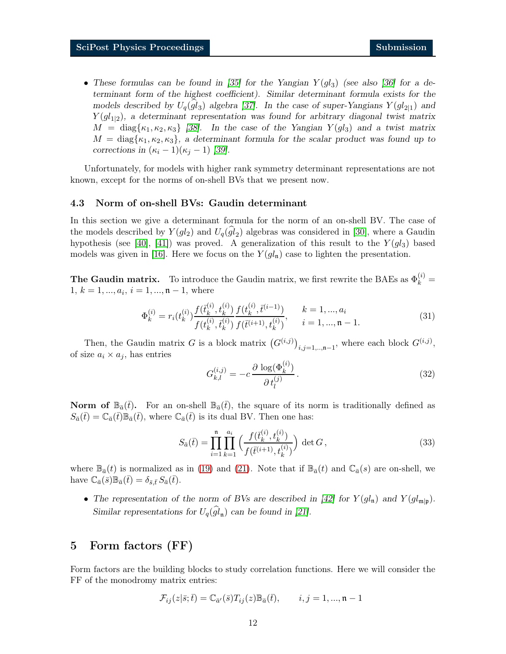• These formulas can be found in [\[35\]](#page-19-3) for the Yangian  $Y(gl_3)$  (see also [\[36\]](#page-19-4) for a determinant form of the highest coefficient). Similar determinant formula exists for the models described by  $U_q(gl_3)$  algebra [\[37\]](#page-19-5). In the case of super-Yangians  $Y(gl_{2|1})$  and  $Y(gl_{1|2})$ , a determinant representation was found for arbitrary diagonal twist matrix  $M = \text{diag}\{\kappa_1, \kappa_2, \kappa_3\}$  [\[38\]](#page-19-6). In the case of the Yangian  $Y(gl_3)$  and a twist matrix  $M = \text{diag}\{\kappa_1, \kappa_2, \kappa_3\},\$ a determinant formula for the scalar product was found up to corrections in  $(\kappa_i - 1)(\kappa_j - 1)$  [\[39\]](#page-19-7).

Unfortunately, for models with higher rank symmetry determinant representations are not known, except for the norms of on-shell BVs that we present now.

#### 4.3 Norm of on-shell BVs: Gaudin determinant

In this section we give a determinant formula for the norm of an on-shell BV. The case of the models described by  $Y(gl_2)$  and  $U_q(gl_2)$  algebras was considered in [\[30\]](#page-18-12), where a Gaudin hypothesis (see [\[40\]](#page-19-8), [\[41\]](#page-19-9)) was proved. A generalization of this result to the  $Y(q_3)$  based models was given in [\[16\]](#page-17-5). Here we focus on the  $Y(gl_n)$  case to lighten the presentation.

**The Gaudin matrix.** To introduce the Gaudin matrix, we first rewrite the BAEs as  $\Phi_k^{(i)}$  =  $1, k = 1, ..., a_i, i = 1, ..., n - 1$ , where

$$
\Phi_k^{(i)} = r_i(t_k^{(i)}) \frac{f(\bar{t}_k^{(i)}, t_k^{(i)})}{f(t_k^{(i)}, \bar{t}_k^{(i)})} \frac{f(t_k^{(i)}, \bar{t}^{(i-1)})}{f(\bar{t}^{(i+1)}, t_k^{(i)})}, \qquad k = 1, ..., a_i
$$
\n(31)

Then, the Gaudin matrix G is a block matrix  $(G^{(i,j)})_{i,j=1,\dots,n-1}$ , where each block  $G^{(i,j)}$ , of size  $a_i \times a_j$ , has entries

$$
G_{k,l}^{(i,j)} = -c \frac{\partial \log(\Phi_k^{(i)})}{\partial t_l^{(j)}}.
$$
\n(32)

**Norm of**  $\mathbb{B}_{\bar{a}}(\bar{t})$ . For an on-shell  $\mathbb{B}_{\bar{a}}(\bar{t})$ , the square of its norm is traditionally defined as  $S_{\bar{a}}(\bar{t}) = \mathbb{C}_{\bar{a}}(\bar{t})\mathbb{B}_{\bar{a}}(\bar{t}),$  where  $\mathbb{C}_{\bar{a}}(\bar{t})$  is its dual BV. Then one has:

$$
S_{\bar{a}}(\bar{t}) = \prod_{i=1}^{n} \prod_{k=1}^{a_i} \left( \frac{f(\bar{t}_k^{(i)}, t_k^{(i)})}{f(\bar{t}^{(i+1)}, t_k^{(i)})} \right) \det G,
$$
\n(33)

where  $\mathbb{B}_{\bar{a}}(t)$  is normalized as in [\(19\)](#page-8-0) and [\(21\)](#page-8-1). Note that if  $\mathbb{B}_{\bar{a}}(t)$  and  $\mathbb{C}_{\bar{a}}(s)$  are on-shell, we have  $\mathbb{C}_{\bar{a}}(\bar{s})\mathbb{B}_{\bar{a}}(t) = \delta_{\bar{s},\bar{t}}S_{\bar{a}}(t).$ 

• The representation of the norm of BVs are described in [\[42\]](#page-19-10) for  $Y(gl_n)$  and  $Y(gl_{m|p})$ . Similar representations for  $U_q(gl_n)$  can be found in [\[21\]](#page-18-3).

# <span id="page-11-0"></span>5 Form factors (FF)

Form factors are the building blocks to study correlation functions. Here we will consider the FF of the monodromy matrix entries:

$$
\mathcal{F}_{ij}(z|\bar{s};\bar{t})=\mathbb{C}_{\bar{a}'}(\bar{s})T_{ij}(z)\mathbb{B}_{\bar{a}}(\bar{t}),\qquad i,j=1,...,\mathfrak{n}-1
$$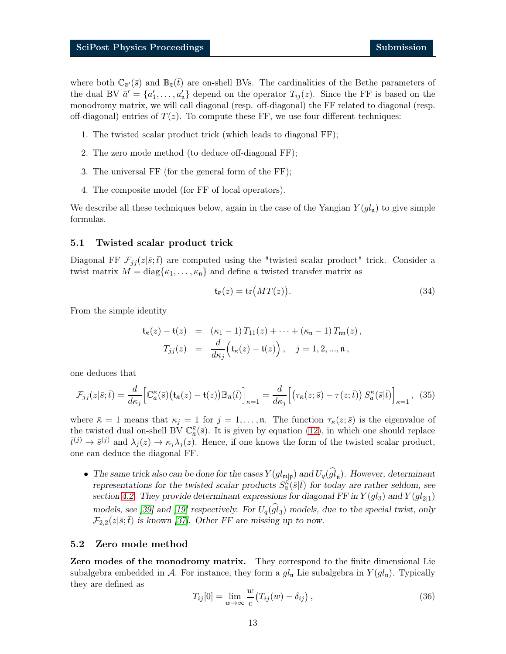where both  $\mathbb{C}_{\bar{a}'}(\bar{s})$  and  $\mathbb{B}_{\bar{a}}(\bar{t})$  are on-shell BVs. The cardinalities of the Bethe parameters of the dual BV  $\bar{a}' = \{a'_1, \ldots, a'_n\}$  depend on the operator  $T_{ij}(z)$ . Since the FF is based on the monodromy matrix, we will call diagonal (resp. off-diagonal) the FF related to diagonal (resp. off-diagonal) entries of  $T(z)$ . To compute these FF, we use four different techniques:

- 1. The twisted scalar product trick (which leads to diagonal FF);
- 2. The zero mode method (to deduce off-diagonal FF);
- 3. The universal FF (for the general form of the FF);
- 4. The composite model (for FF of local operators).

We describe all these techniques below, again in the case of the Yangian  $Y(g_n)$  to give simple formulas.

#### <span id="page-12-1"></span>5.1 Twisted scalar product trick

Diagonal FF  $\mathcal{F}_{ii}(z|\bar{s};\bar{t})$  are computed using the "twisted scalar product" trick. Consider a twist matrix  $M = \text{diag}\{\kappa_1, \ldots, \kappa_n\}$  and define a twisted transfer matrix as

$$
\mathfrak{t}_{\bar{\kappa}}(z) = \text{tr}\big(MT(z)\big). \tag{34}
$$

From the simple identity

<span id="page-12-2"></span>
$$
\mathfrak{t}_{\bar{\kappa}}(z) - \mathfrak{t}(z) = (\kappa_1 - 1) T_{11}(z) + \cdots + (\kappa_n - 1) T_{nn}(z),
$$
  

$$
T_{jj}(z) = \frac{d}{d\kappa_j} (\mathfrak{t}_{\bar{\kappa}}(z) - \mathfrak{t}(z)), \quad j = 1, 2, ..., n,
$$

one deduces that

$$
\mathcal{F}_{jj}(z|\bar{s};\bar{t}) = \frac{d}{d\kappa_j} \Big[ \mathbb{C}_{\bar{a}}^{\bar{\kappa}}(\bar{s}) \big( \mathfrak{t}_{\bar{\kappa}}(z) - \mathfrak{t}(z) \big) \mathbb{B}_{\bar{a}}(\bar{t}) \Big]_{\bar{\kappa}=1} = \frac{d}{d\kappa_j} \Big[ \big( \tau_{\bar{\kappa}}(z;\bar{s}) - \tau(z;\bar{t}) \big) \, S_{\bar{a}}^{\bar{\kappa}}(\bar{s}|\bar{t}) \Big]_{\bar{\kappa}=1}, \tag{35}
$$

where  $\bar{\kappa} = 1$  means that  $\kappa_j = 1$  for  $j = 1, \ldots, \mathfrak{n}$ . The function  $\tau_{\bar{\kappa}}(z; \bar{s})$  is the eigenvalue of the twisted dual on-shell BV  $\mathbb{C}_{\bar{a}}^{\bar{\kappa}}(\bar{s})$ . It is given by equation [\(12\)](#page-5-2), in which one should replace  $\bar{t}^{(j)} \to \bar{s}^{(j)}$  and  $\lambda_j(z) \to \kappa_j \lambda_j(z)$ . Hence, if one knows the form of the twisted scalar product, one can deduce the diagonal FF.

• The same trick also can be done for the cases  $Y(gl_{m|p})$  and  $U_q(gl_n)$ . However, determinant representations for the twisted scalar products  $S_{\bar{a}}^{\vec{\kappa}}(\bar{s}|\bar{t})$  for today are rather seldom, see section [4.2.](#page-10-0) They provide determinant expressions for diagonal FF in  $Y(gl_3)$  and  $Y(gl_{2|1})$ models, see [\[39\]](#page-19-7) and [\[19\]](#page-18-1) respectively. For  $U_q(gl_3)$  models, due to the special twist, only  $\mathcal{F}_{2,2}(z|\bar{s};\bar{t})$  is known [\[37\]](#page-19-5). Other FF are missing up to now.

#### <span id="page-12-0"></span>5.2 Zero mode method

Zero modes of the monodromy matrix. They correspond to the finite dimensional Lie subalgebra embedded in A. For instance, they form a  $gl_n$  Lie subalgebra in  $Y(gl_n)$ . Typically they are defined as

$$
T_{ij}[0] = \lim_{w \to \infty} \frac{w}{c} (T_{ij}(w) - \delta_{ij}), \qquad (36)
$$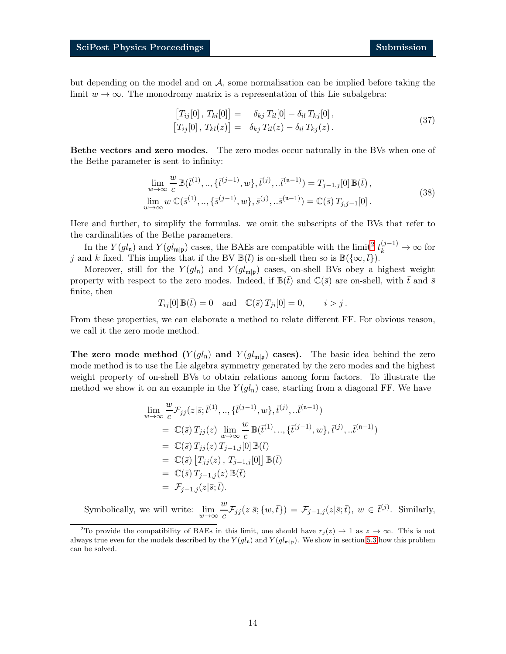but depending on the model and on  $A$ , some normalisation can be implied before taking the limit  $w \to \infty$ . The monodromy matrix is a representation of this Lie subalgebra:

$$
[T_{ij}[0], T_{kl}[0]] = \delta_{kj} T_{il}[0] - \delta_{il} T_{kj}[0],
$$
  

$$
[T_{ij}[0], T_{kl}(z)] = \delta_{kj} T_{il}(z) - \delta_{il} T_{kj}(z).
$$
 (37)

Bethe vectors and zero modes. The zero modes occur naturally in the BVs when one of the Bethe parameter is sent to infinity:

$$
\lim_{w \to \infty} \frac{w}{c} \mathbb{B}(\bar{t}^{(1)}, \dots, \{\bar{t}^{(j-1)}, w\}, \bar{t}^{(j)}, \dots, \bar{t}^{(n-1)}) = T_{j-1,j}[0] \mathbb{B}(\bar{t}),
$$
\n
$$
\lim_{w \to \infty} w \mathbb{C}(\bar{s}^{(1)}, \dots, \{\bar{s}^{(j-1)}, w\}, \bar{s}^{(j)}, \dots, \bar{s}^{(n-1)}) = \mathbb{C}(\bar{s}) T_{j,j-1}[0].
$$
\n(38)

Here and further, to simplify the formulas. we omit the subscripts of the BVs that refer to the cardinalities of the Bethe parameters.

In the  $Y(gl_n)$  and  $Y(gl_{m|p})$  cases, the BAEs are compatible with the limit<sup>[2](#page-13-0)</sup>  $t_k^{(j-1)} \to \infty$  for j and k fixed. This implies that if the BV  $\mathbb{B}(\bar{t})$  is on-shell then so is  $\mathbb{B}(\{\infty,\bar{t}\})$ .

Moreover, still for the  $Y(gl_n)$  and  $Y(gl_{m|p})$  cases, on-shell BVs obey a highest weight property with respect to the zero modes. Indeed, if  $\mathbb{B}(\bar{t})$  and  $\mathbb{C}(\bar{s})$  are on-shell, with  $\bar{t}$  and  $\bar{s}$ finite, then

$$
T_{ij}[0]\,\mathbb{B}(\bar{t}) = 0 \quad \text{and} \quad \mathbb{C}(\bar{s})\,T_{ji}[0] = 0, \qquad i > j\,.
$$

From these properties, we can elaborate a method to relate different FF. For obvious reason, we call it the zero mode method.

**The zero mode method**  $(Y(gl_n)$  and  $Y(gl_{m|p})$  cases). The basic idea behind the zero mode method is to use the Lie algebra symmetry generated by the zero modes and the highest weight property of on-shell BVs to obtain relations among form factors. To illustrate the method we show it on an example in the  $Y(gl_n)$  case, starting from a diagonal FF. We have

$$
\lim_{w \to \infty} \frac{w}{c} \mathcal{F}_{jj}(z|\bar{s}; \bar{t}^{(1)}, ..., \{\bar{t}^{(j-1)}, w\}, \bar{t}^{(j)}, ... \bar{t}^{(n-1)})
$$
\n
$$
= \mathbb{C}(\bar{s}) T_{jj}(z) \lim_{w \to \infty} \frac{w}{c} \mathbb{B}(\bar{t}^{(1)}, ..., \{\bar{t}^{(j-1)}, w\}, \bar{t}^{(j)}, ... \bar{t}^{(n-1)})
$$
\n
$$
= \mathbb{C}(\bar{s}) T_{jj}(z) T_{j-1,j}[0] \mathbb{B}(\bar{t})
$$
\n
$$
= \mathbb{C}(\bar{s}) [T_{jj}(z), T_{j-1,j}[0]] \mathbb{B}(\bar{t})
$$
\n
$$
= \mathbb{C}(\bar{s}) T_{j-1,j}(z) \mathbb{B}(\bar{t})
$$
\n
$$
= \mathcal{F}_{j-1,j}(z|\bar{s}; \bar{t}).
$$

Symbolically, we will write:  $\lim_{w \to \infty} \frac{w}{c}$  $\frac{d}{c}\mathcal{F}_{jj}(z|\bar{s}; \{w,\bar{t}\}) = \mathcal{F}_{j-1,j}(z|\bar{s};\bar{t}), w \in \bar{t}^{(j)}$ . Similarly,

<span id="page-13-0"></span><sup>&</sup>lt;sup>2</sup>To provide the compatibility of BAEs in this limit, one should have  $r_j(z) \to 1$  as  $z \to \infty$ . This is not always true even for the models described by the  $Y(gl_n)$  and  $Y(gl_{m|p})$ . We show in section [5.3](#page-14-0) how this problem can be solved.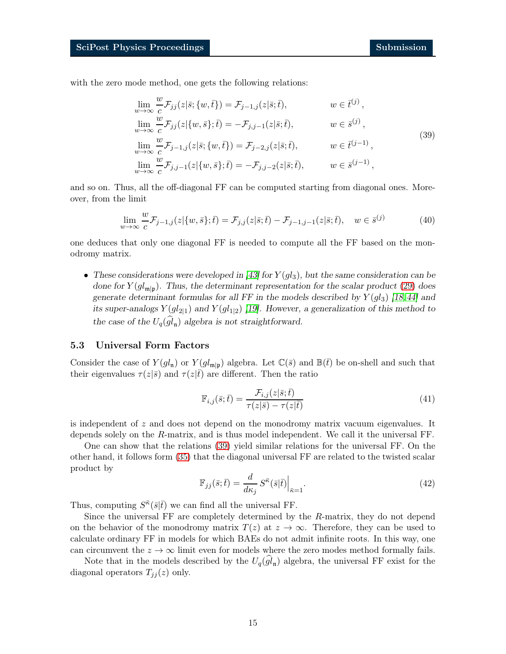<span id="page-14-1"></span> $\overline{u}$ 

with the zero mode method, one gets the following relations:

$$
\lim_{w \to \infty} \frac{w}{c} \mathcal{F}_{jj}(z|\bar{s}; \{w, \bar{t}\}) = \mathcal{F}_{j-1,j}(z|\bar{s}; \bar{t}), \qquad w \in \bar{t}^{(j)},
$$
\n
$$
\lim_{w \to \infty} \frac{w}{c} \mathcal{F}_{jj}(z|\{w, \bar{s}\}; \bar{t}) = -\mathcal{F}_{j,j-1}(z|\bar{s}; \bar{t}), \qquad w \in \bar{s}^{(j)},
$$
\n
$$
\lim_{w \to \infty} \frac{w}{c} \mathcal{F}_{j-1,j}(z|\bar{s}; \{w, \bar{t}\}) = \mathcal{F}_{j-2,j}(z|\bar{s}; \bar{t}), \qquad w \in \bar{t}^{(j-1)},
$$
\n
$$
\lim_{w \to \infty} \frac{w}{c} \mathcal{F}_{j,j-1}(z|\{w, \bar{s}\}; \bar{t}) = -\mathcal{F}_{j,j-2}(z|\bar{s}; \bar{t}), \qquad w \in \bar{s}^{(j-1)},
$$
\n
$$
(39)
$$

and so on. Thus, all the off-diagonal FF can be computed starting from diagonal ones. Moreover, from the limit

$$
\lim_{w \to \infty} \frac{w}{c} \mathcal{F}_{j-1,j}(z|\{w,\bar{s}\};\bar{t}) = \mathcal{F}_{j,j}(z|\bar{s};\bar{t}) - \mathcal{F}_{j-1,j-1}(z|\bar{s};\bar{t}), \quad w \in \bar{s}^{(j)} \tag{40}
$$

one deduces that only one diagonal FF is needed to compute all the FF based on the monodromy matrix.

• These considerations were developed in  $[43]$  for  $Y(gl_3)$ , but the same consideration can be done for  $Y(gl_{\mathfrak{m}|\mathfrak{p}})$ . Thus, the determinant representation for the scalar product [\(29\)](#page-10-1) does generate determinant formulas for all FF in the models described by  $Y(g_{3})$  [\[18,](#page-18-0)[44\]](#page-19-12) and its super-analogs  $Y(gl_{2|1})$  and  $Y(gl_{1|2})$  [\[19\]](#page-18-1). However, a generalization of this method to the case of the  $U_q(gl_n)$  algebra is not straightforward.

## <span id="page-14-0"></span>5.3 Universal Form Factors

Consider the case of  $Y(gl_n)$  or  $Y(gl_{m|p})$  algebra. Let  $\mathbb{C}(\bar{s})$  and  $\mathbb{B}(\bar{t})$  be on-shell and such that their eigenvalues  $\tau(z|\bar{s})$  and  $\tau(z|\bar{t})$  are different. Then the ratio

$$
\mathbb{F}_{i,j}(\bar{s};\bar{t}) = \frac{\mathcal{F}_{i,j}(z|\bar{s};\bar{t})}{\tau(z|\bar{s}) - \tau(z|\bar{t})}
$$
(41)

is independent of z and does not depend on the monodromy matrix vacuum eigenvalues. It depends solely on the R-matrix, and is thus model independent. We call it the universal FF.

One can show that the relations [\(39\)](#page-14-1) yield similar relations for the universal FF. On the other hand, it follows form [\(35\)](#page-12-2) that the diagonal universal FF are related to the twisted scalar product by

$$
\mathbb{F}_{jj}(\bar{s};\bar{t}) = \frac{d}{d\kappa_j} S^{\bar{\kappa}}(\bar{s}|\bar{t})\Big|_{\bar{\kappa}=1}.
$$
\n(42)

Thus, computing  $S^{\bar{\kappa}}(\bar{s}|\bar{t})$  we can find all the universal FF.

Since the universal FF are completely determined by the R-matrix, they do not depend on the behavior of the monodromy matrix  $T(z)$  at  $z \to \infty$ . Therefore, they can be used to calculate ordinary FF in models for which BAEs do not admit infinite roots. In this way, one can circumvent the  $z \to \infty$  limit even for models where the zero modes method formally fails.

Note that in the models described by the  $U_q(gl_n)$  algebra, the universal FF exist for the diagonal operators  $T_{jj}(z)$  only.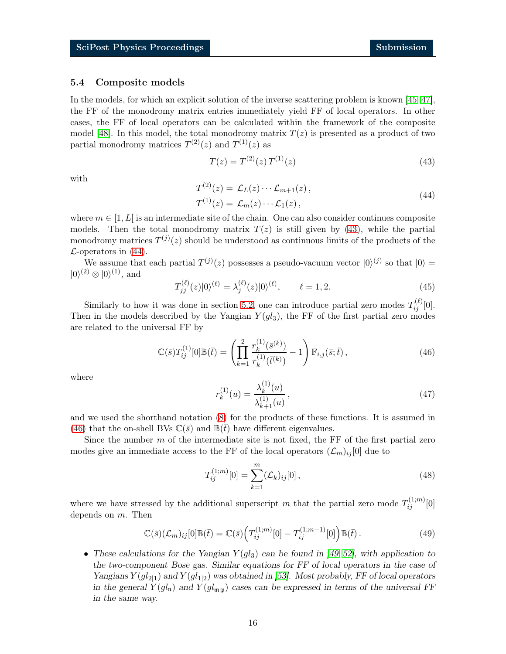#### 5.4 Composite models

In the models, for which an explicit solution of the inverse scattering problem is known [\[45–](#page-20-0)[47\]](#page-20-1), the FF of the monodromy matrix entries immediately yield FF of local operators. In other cases, the FF of local operators can be calculated within the framework of the composite model [\[48\]](#page-20-2). In this model, the total monodromy matrix  $T(z)$  is presented as a product of two partial monodromy matrices  $T^{(2)}(z)$  and  $T^{(1)}(z)$  as

<span id="page-15-0"></span>
$$
T(z) = T^{(2)}(z) T^{(1)}(z)
$$
\n(43)

<span id="page-15-1"></span>with

$$
T^{(2)}(z) = \mathcal{L}_L(z) \cdots \mathcal{L}_{m+1}(z),
$$
  
\n
$$
T^{(1)}(z) = \mathcal{L}_m(z) \cdots \mathcal{L}_1(z),
$$
\n(44)

where  $m \in [1, L]$  is an intermediate site of the chain. One can also consider continues composite models. Then the total monodromy matrix  $T(z)$  is still given by [\(43\)](#page-15-0), while the partial monodromy matrices  $T^{(j)}(z)$  should be understood as continuous limits of the products of the  $\mathcal{L}$ -operators in [\(44\)](#page-15-1).

We assume that each partial  $T^{(j)}(z)$  possesses a pseudo-vacuum vector  $|0\rangle^{(j)}$  so that  $|0\rangle =$  $|0\rangle^{(2)} \otimes |0\rangle^{(1)}$ , and

$$
T_{jj}^{(\ell)}(z)|0\rangle^{(\ell)} = \lambda_j^{(\ell)}(z)|0\rangle^{(\ell)}, \qquad \ell = 1, 2. \tag{45}
$$

Similarly to how it was done in section [5.2,](#page-12-0) one can introduce partial zero modes  $T_{ij}^{(\ell)}[0]$ . Then in the models described by the Yangian  $Y(gl_3)$ , the FF of the first partial zero modes are related to the universal FF by

<span id="page-15-2"></span>
$$
\mathbb{C}(\bar{s})T_{ij}^{(1)}[0]\mathbb{B}(\bar{t}) = \left(\prod_{k=1}^{2} \frac{r_k^{(1)}(\bar{s}^{(k)})}{r_k^{(1)}(\bar{t}^{(k)})} - 1\right) \mathbb{F}_{i,j}(\bar{s};\bar{t}), \qquad (46)
$$

where

$$
r_k^{(1)}(u) = \frac{\lambda_k^{(1)}(u)}{\lambda_{k+1}^{(1)}(u)},
$$
\n(47)

and we used the shorthand notation [\(8\)](#page-4-1) for the products of these functions. It is assumed in [\(46\)](#page-15-2) that the on-shell BVs  $\mathbb{C}(\bar{s})$  and  $\mathbb{B}(t)$  have different eigenvalues.

Since the number  $m$  of the intermediate site is not fixed, the FF of the first partial zero modes give an immediate access to the FF of the local operators  $(\mathcal{L}_m)_{ij}$  [0] due to

$$
T_{ij}^{(1;m)}[0] = \sum_{k=1}^{m} (\mathcal{L}_k)_{ij}[0],
$$
\n(48)

where we have stressed by the additional superscript m that the partial zero mode  $T_{ij}^{(1;m)}[0]$ depends on m. Then

$$
\mathbb{C}(\bar{s})(\mathcal{L}_m)_{ij}[0]\mathbb{B}(\bar{t}) = \mathbb{C}(\bar{s})\Big(T_{ij}^{(1;m)}[0] - T_{ij}^{(1;m-1)}[0]\Big)\mathbb{B}(\bar{t}).\tag{49}
$$

• These calculations for the Yangian  $Y(gl_3)$  can be found in [\[49–](#page-20-3)[52\]](#page-20-4), with application to the two-component Bose gas. Similar equations for FF of local operators in the case of Yangians  $Y(gl_{2|1})$  and  $Y(gl_{1|2})$  was obtained in [\[53\]](#page-20-5). Most probably, FF of local operators in the general  $Y(gl_n)$  and  $Y(gl_{m|p})$  cases can be expressed in terms of the universal FF in the same way.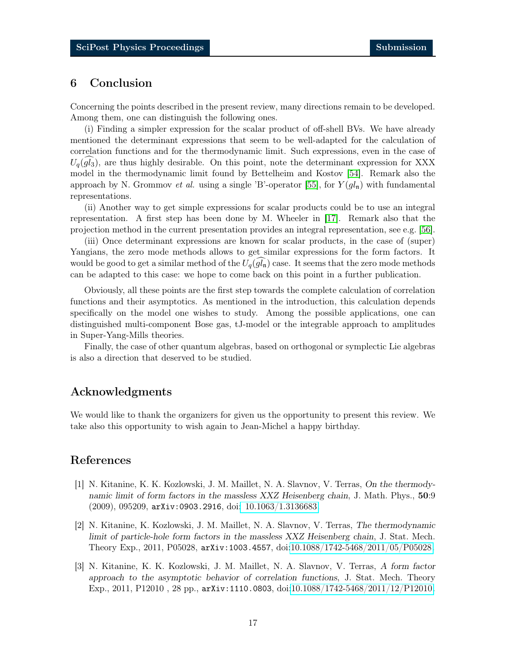# 6 Conclusion

Concerning the points described in the present review, many directions remain to be developed. Among them, one can distinguish the following ones.

(i) Finding a simpler expression for the scalar product of off-shell BVs. We have already mentioned the determinant expressions that seem to be well-adapted for the calculation of correlation functions and for the thermodynamic limit. Such expressions, even in the case of  $U_q(gl_3)$ , are thus highly desirable. On this point, note the determinant expression for XXX model in the thermodynamic limit found by Bettelheim and Kostov [\[54\]](#page-20-6). Remark also the approach by N. Grommov *et al.* using a single 'B'-operator [\[55\]](#page-20-7), for  $Y(gl_n)$  with fundamental representations.

(ii) Another way to get simple expressions for scalar products could be to use an integral representation. A first step has been done by M. Wheeler in [\[17\]](#page-17-6). Remark also that the projection method in the current presentation provides an integral representation, see e.g. [\[56\]](#page-20-8).

(iii) Once determinant expressions are known for scalar products, in the case of (super) Yangians, the zero mode methods allows to get similar expressions for the form factors. It would be good to get a similar method of the  $U_q(gl_n)$  case. It seems that the zero mode methods can be adapted to this case: we hope to come back on this point in a further publication.

Obviously, all these points are the first step towards the complete calculation of correlation functions and their asymptotics. As mentioned in the introduction, this calculation depends specifically on the model one wishes to study. Among the possible applications, one can distinguished multi-component Bose gas, tJ-model or the integrable approach to amplitudes in Super-Yang-Mills theories.

Finally, the case of other quantum algebras, based on orthogonal or symplectic Lie algebras is also a direction that deserved to be studied.

# Acknowledgments

We would like to thank the organizers for given us the opportunity to present this review. We take also this opportunity to wish again to Jean-Michel a happy birthday.

# <span id="page-16-0"></span>References

- [1] N. Kitanine, K. K. Kozlowski, J. M. Maillet, N. A. Slavnov, V. Terras, On the thermodynamic limit of form factors in the massless XXZ Heisenberg chain, J. Math. Phys., 50:9 (2009), 095209, arXiv:0903.2916, doi[: 10.1063/1.3136683.](http://dx.doi.org/ 10.1063/1.3136683)
- [2] N. Kitanine, K. Kozlowski, J. M. Maillet, N. A. Slavnov, V. Terras, The thermodynamic limit of particle-hole form factors in the massless XXZ Heisenberg chain, J. Stat. Mech. Theory Exp., 2011, P05028, arXiv:1003.4557, doi[:10.1088/1742-5468/2011/05/P05028.](http://dx.doi.org/10.1088/1742-5468/2011/05/P05028)
- [3] N. Kitanine, K. K. Kozlowski, J. M. Maillet, N. A. Slavnov, V. Terras, A form factor approach to the asymptotic behavior of correlation functions, J. Stat. Mech. Theory Exp., 2011, P12010 , 28 pp., arXiv:1110.0803, doi[:10.1088/1742-5468/2011/12/P12010.](http://dx.doi.org/10.1088/1742-5468/2011/12/P12010)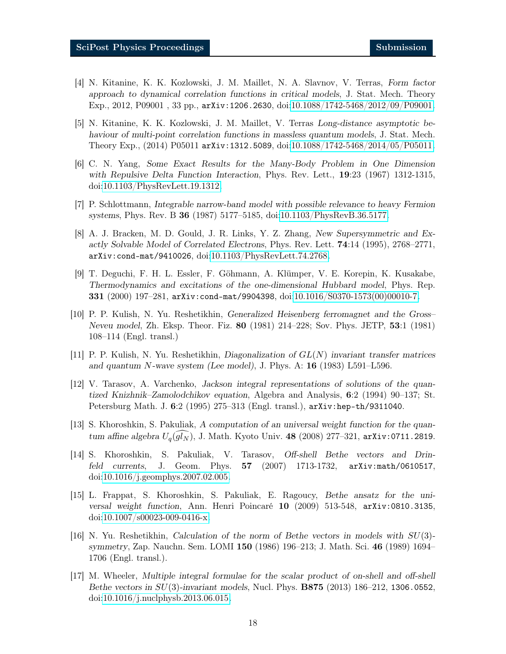- [4] N. Kitanine, K. K. Kozlowski, J. M. Maillet, N. A. Slavnov, V. Terras, Form factor approach to dynamical correlation functions in critical models, J. Stat. Mech. Theory Exp., 2012, P09001 , 33 pp., arXiv:1206.2630, doi[:10.1088/1742-5468/2012/09/P09001.](http://dx.doi.org/10.1088/1742-5468/2012/09/P09001)
- <span id="page-17-0"></span>[5] N. Kitanine, K. K. Kozlowski, J. M. Maillet, V. Terras Long-distance asymptotic behaviour of multi-point correlation functions in massless quantum models, J. Stat. Mech. Theory Exp., (2014) P05011 arXiv:1312.5089, doi[:10.1088/1742-5468/2014/05/P05011.](http://dx.doi.org/10.1088/1742-5468/2014/05/P05011)
- <span id="page-17-1"></span>[6] C. N. Yang, Some Exact Results for the Many-Body Problem in One Dimension with Repulsive Delta Function Interaction, Phys. Rev. Lett., **19**:23 (1967) 1312-1315, doi[:10.1103/PhysRevLett.19.1312.](http://dx.doi.org/10.1103/PhysRevLett.19.1312)
- [7] P. Schlottmann, Integrable narrow-band model with possible relevance to heavy Fermion systems, Phys. Rev. B 36 (1987) 5177–5185, doi[:10.1103/PhysRevB.36.5177.](http://dx.doi.org/10.1103/PhysRevB.36.5177)
- [8] A. J. Bracken, M. D. Gould, J. R. Links, Y. Z. Zhang, New Supersymmetric and Exactly Solvable Model of Correlated Electrons, Phys. Rev. Lett. 74:14 (1995), 2768–2771, arXiv:cond-mat/9410026, doi[:10.1103/PhysRevLett.74.2768.](http://dx.doi.org/10.1103/PhysRevLett.74.2768)
- <span id="page-17-2"></span>[9] T. Deguchi, F. H. L. Essler, F. Göhmann, A. Klümper, V. E. Korepin, K. Kusakabe, Thermodynamics and excitations of the one-dimensional Hubbard model, Phys. Rep. 331 (2000) 197–281, arXiv:cond-mat/9904398, doi[:10.1016/S0370-1573\(00\)00010-7.](http://dx.doi.org/10.1016/S0370-1573(00)00010-7)
- <span id="page-17-3"></span>[10] P. P. Kulish, N. Yu. Reshetikhin, Generalized Heisenberg ferromagnet and the Gross– Neveu model, Zh. Eksp. Theor. Fiz. 80 (1981) 214–228; Sov. Phys. JETP, 53:1 (1981) 108–114 (Engl. transl.)
- <span id="page-17-8"></span><span id="page-17-7"></span>[11] P. P. Kulish, N. Yu. Reshetikhin, Diagonalization of  $GL(N)$  invariant transfer matrices and quantum N-wave system (Lee model), J. Phys. A:  $16$  (1983) L591–L596.
- [12] V. Tarasov, A. Varchenko, Jackson integral representations of solutions of the quantized Knizhnik–Zamolodchikov equation, Algebra and Analysis, 6:2 (1994) 90–137; St. Petersburg Math. J. 6:2 (1995) 275–313 (Engl. transl.), arXiv:hep-th/9311040.
- <span id="page-17-9"></span>[13] S. Khoroshkin, S. Pakuliak, A computation of an universal weight function for the quantum affine algebra  $U_q(gl_N)$ , J. Math. Kyoto Univ. 48 (2008) 277–321, arXiv:0711.2819.
- [14] S. Khoroshkin, S. Pakuliak, V. Tarasov, Off-shell Bethe vectors and Drinfeld currents, J. Geom. Phys. 57 (2007) 1713-1732, arXiv:math/0610517, doi[:10.1016/j.geomphys.2007.02.005.](http://dx.doi.org/10.1016/j.geomphys.2007.02.005)
- <span id="page-17-4"></span>[15] L. Frappat, S. Khoroshkin, S. Pakuliak, E. Ragoucy, Bethe ansatz for the universal weight function, Ann. Henri Poincaré 10 (2009) 513-548, arXiv:0810.3135, doi[:10.1007/s00023-009-0416-x.](http://dx.doi.org/10.1007/s00023-009-0416-x)
- <span id="page-17-5"></span>[16] N. Yu. Reshetikhin, Calculation of the norm of Bethe vectors in models with SU(3) symmetry, Zap. Nauchn. Sem. LOMI 150 (1986) 196–213; J. Math. Sci. 46 (1989) 1694– 1706 (Engl. transl.).
- <span id="page-17-6"></span>[17] M. Wheeler, Multiple integral formulae for the scalar product of on-shell and off-shell Bethe vectors in  $SU(3)$ -invariant models, Nucl. Phys. **B875** (2013) 186–212, 1306.0552, doi[:10.1016/j.nuclphysb.2013.06.015.](http://dx.doi.org/10.1016/j.nuclphysb.2013.06.015)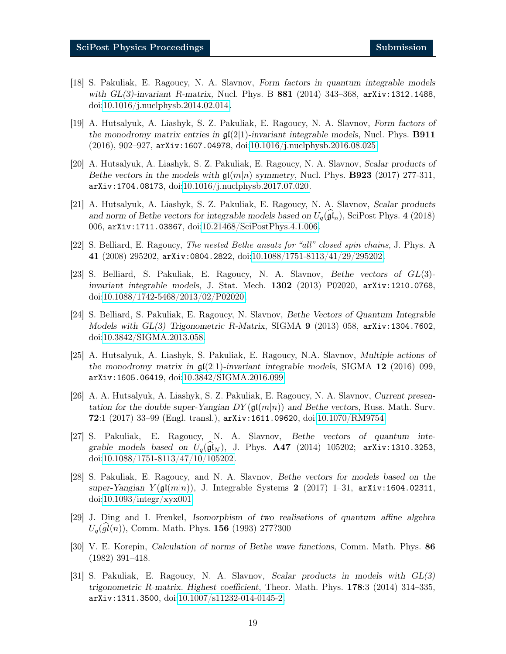- <span id="page-18-0"></span>[18] S. Pakuliak, E. Ragoucy, N. A. Slavnov, Form factors in quantum integrable models with GL(3)-invariant R-matrix, Nucl. Phys. B 881 (2014) 343–368, arXiv:1312.1488, doi[:10.1016/j.nuclphysb.2014.02.014.](http://dx.doi.org/10.1016/j.nuclphysb.2014.02.014)
- <span id="page-18-1"></span>[19] A. Hutsalyuk, A. Liashyk, S. Z. Pakuliak, E. Ragoucy, N. A. Slavnov, Form factors of the monodromy matrix entries in  $\mathfrak{gl}(2|1)$ -invariant integrable models, Nucl. Phys. **B911** (2016), 902–927, arXiv:1607.04978, doi[:10.1016/j.nuclphysb.2016.08.025.](http://dx.doi.org/10.1016/j.nuclphysb.2016.08.025)
- <span id="page-18-2"></span>[20] A. Hutsalyuk, A. Liashyk, S. Z. Pakuliak, E. Ragoucy, N. A. Slavnov, Scalar products of Bethe vectors in the models with  $\mathfrak{gl}(m|n)$  symmetry, Nucl. Phys. **B923** (2017) 277-311, arXiv:1704.08173, doi[:10.1016/j.nuclphysb.2017.07.020.](http://dx.doi.org/10.1016/j.nuclphysb.2017.07.020)
- <span id="page-18-3"></span>[21] A. Hutsalyuk, A. Liashyk, S. Z. Pakuliak, E. Ragoucy, N. A. Slavnov, Scalar products and norm of Bethe vectors for integrable models based on  $U_q(\mathfrak{gl}_n)$ , SciPost Phys. 4 (2018) 006, arXiv:1711.03867, doi[:10.21468/SciPostPhys.4.1.006.](http://dx.doi.org/10.21468/SciPostPhys.4.1.006)
- <span id="page-18-5"></span><span id="page-18-4"></span>[22] S. Belliard, E. Ragoucy, The nested Bethe ansatz for "all" closed spin chains, J. Phys. A 41 (2008) 295202, arXiv:0804.2822, doi[:10.1088/1751-8113/41/29/295202.](http://dx.doi.org/10.1088/1751-8113/41/29/295202)
- [23] S. Belliard, S. Pakuliak, E. Ragoucy, N. A. Slavnov, Bethe vectors of GL(3) invariant integrable models, J. Stat. Mech. 1302 (2013) P02020, arXiv:1210.0768, doi[:10.1088/1742-5468/2013/02/P02020.](http://dx.doi.org/10.1088/1742-5468/2013/02/P02020)
- <span id="page-18-6"></span>[24] S. Belliard, S. Pakuliak, E. Ragoucy, N. Slavnov, Bethe Vectors of Quantum Integrable Models with  $GL(3)$  Trigonometric R-Matrix, SIGMA 9 (2013) 058,  $arXiv:1304.7602$ , doi[:10.3842/SIGMA.2013.058.](http://dx.doi.org/10.3842/SIGMA.2013.058)
- <span id="page-18-7"></span>[25] A. Hutsalyuk, A. Liashyk, S. Pakuliak, E. Ragoucy, N.A. Slavnov, Multiple actions of the monodromy matrix in  $\mathfrak{gl}(2|1)$ -invariant integrable models, SIGMA 12 (2016) 099, arXiv:1605.06419, doi[:10.3842/SIGMA.2016.099.](http://dx.doi.org/10.3842/SIGMA.2016.099)
- <span id="page-18-8"></span>[26] A. A. Hutsalyuk, A. Liashyk, S. Z. Pakuliak, E. Ragoucy, N. A. Slavnov, Current presentation for the double super-Yangian  $DY(\mathfrak{gl}(m|n))$  and Bethe vectors, Russ. Math. Surv. **72**:1 (2017) 33–99 (Engl. transl.),  $arXiv:1611.09620$ , doi[:10.1070/RM9754.](http://dx.doi.org/10.1070/RM9754)
- <span id="page-18-9"></span>[27] S. Pakuliak, E. Ragoucy, N. A. Slavnov, Bethe vectors of quantum integrable models based on  $U_q(\mathfrak{gl}_N)$ , J. Phys. **A47** (2014) 105202; arXiv:1310.3253, doi[:10.1088/1751-8113/47/10/105202.](http://dx.doi.org/10.1088/1751-8113/47/10/105202)
- <span id="page-18-10"></span>[28] S. Pakuliak, E. Ragoucy, and N. A. Slavnov, Bethe vectors for models based on the super-Yangian  $Y(\mathfrak{gl}(m|n))$ , J. Integrable Systems 2 (2017) 1–31, arXiv:1604.02311, doi[:10.1093/integr/xyx001.](http://dx.doi.org/10.1093/integr/xyx001)
- <span id="page-18-11"></span>[29] J. Ding and I. Frenkel, Isomorphism of two realisations of quantum affine algebra  $U_q(gl(n))$ , Comm. Math. Phys. 156 (1993) 277?300
- <span id="page-18-12"></span>[30] V. E. Korepin, Calculation of norms of Bethe wave functions, Comm. Math. Phys. 86 (1982) 391–418.
- <span id="page-18-13"></span>[31] S. Pakuliak, E. Ragoucy, N. A. Slavnov, Scalar products in models with GL(3) trigonometric R-matrix. Highest coefficient, Theor. Math. Phys. 178:3 (2014) 314–335, arXiv:1311.3500, doi[:10.1007/s11232-014-0145-2.](http://dx.doi.org/10.1007/s11232-014-0145-2)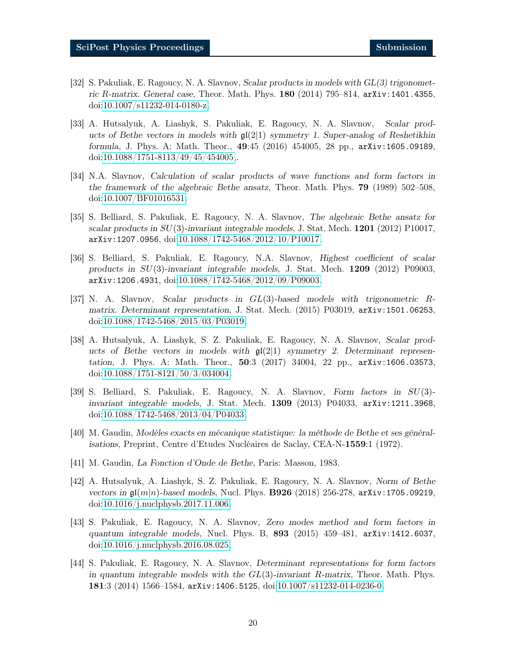- <span id="page-19-0"></span>[32] S. Pakuliak, E. Ragoucy, N. A. Slavnov, Scalar products in models with GL(3) trigonometric R-matrix. General case, Theor. Math. Phys. 180 (2014) 795–814, arXiv:1401.4355, doi[:10.1007/s11232-014-0180-z.](http://dx.doi.org/10.1007/s11232-014-0180-z)
- <span id="page-19-1"></span>[33] A. Hutsalyuk, A. Liashyk, S. Pakuliak, E. Ragoucy, N. A. Slavnov, Scalar products of Bethe vectors in models with  $\mathfrak{gl}(2|1)$  symmetry 1. Super-analog of Reshetikhin formula, J. Phys. A: Math. Theor., 49:45 (2016) 454005, 28 pp., arXiv:1605.09189, doi[:10.1088/1751-8113/49/45/454005,](http://dx.doi.org/10.1088/1751-8113/49/45/454005).
- <span id="page-19-2"></span>[34] N.A. Slavnov, Calculation of scalar products of wave functions and form factors in the framework of the algebraic Bethe ansatz, Theor. Math. Phys. 79 (1989) 502–508, doi[:10.1007/BF01016531.](http://dx.doi.org/10.1007/BF01016531)
- <span id="page-19-3"></span>[35] S. Belliard, S. Pakuliak, E. Ragoucy, N. A. Slavnov, The algebraic Bethe ansatz for scalar products in  $SU(3)$ -invariant integrable models, J. Stat. Mech. 1201 (2012) P10017, arXiv:1207.0956, doi[:10.1088/1742-5468/2012/10/P10017.](http://dx.doi.org/10.1088/1742-5468/2012/10/P10017)
- <span id="page-19-4"></span>[36] S. Belliard, S. Pakuliak, E. Ragoucy, N.A. Slavnov, Highest coefficient of scalar products in SU(3)-invariant integrable models, J. Stat. Mech. 1209 (2012) P09003, arXiv:1206.4931, doi[:10.1088/1742-5468/2012/09/P09003.](http://dx.doi.org/10.1088/1742-5468/2012/09/P09003)
- <span id="page-19-5"></span>[37] N. A. Slavnov, Scalar products in GL(3)-based models with trigonometric Rmatrix. Determinant representation, J. Stat. Mech. (2015) P03019, arXiv:1501.06253, doi[:10.1088/1742-5468/2015/03/P03019.](http://dx.doi.org/10.1088/1742-5468/2015/03/P03019)
- <span id="page-19-6"></span>[38] A. Hutsalyuk, A. Liashyk, S. Z. Pakuliak, E. Ragoucy, N. A. Slavnov, Scalar products of Bethe vectors in models with  $\mathfrak{gl}(2|1)$  symmetry 2. Determinant representation, J. Phys. A: Math. Theor., 50:3 (2017) 34004, 22 pp., arXiv:1606.03573, doi[:10.1088/1751-8121/50/3/034004.](http://dx.doi.org/10.1088/1751-8121/50/3/034004)
- <span id="page-19-7"></span>[39] S. Belliard, S. Pakuliak, E. Ragoucy, N. A. Slavnov, Form factors in SU(3) invariant integrable models, J. Stat. Mech. 1309 (2013) P04033, arXiv:1211.3968, doi[:10.1088/1742-5468/2013/04/P04033.](http://dx.doi.org/10.1088/1742-5468/2013/04/P04033)
- <span id="page-19-8"></span>[40] M. Gaudin, Modèles exacts en mécanique statistique: la méthode de Bethe et ses généralisations, Preprint, Centre d'Etudes Nucléaires de Saclay, CEA-N-1559:1 (1972).
- <span id="page-19-10"></span><span id="page-19-9"></span>[41] M. Gaudin, La Fonction d'Onde de Bethe, Paris: Masson, 1983.
- [42] A. Hutsalyuk, A. Liashyk, S. Z. Pakuliak, E. Ragoucy, N. A. Slavnov, Norm of Bethe vectors in  $\mathfrak{gl}(m|n)$ -based models, Nucl. Phys. **B926** (2018) 256-278,  $\Delta$ arXiv:1705.09219, doi[:10.1016/j.nuclphysb.2017.11.006.](http://dx.doi.org/10.1016/j.nuclphysb.2017.11.006)
- <span id="page-19-11"></span>[43] S. Pakuliak, E. Ragoucy, N. A. Slavnov, Zero modes method and form factors in quantum integrable models, Nucl. Phys. B, 893 (2015) 459–481, arXiv:1412.6037, doi[:10.1016/j.nuclphysb.2016.08.025.](http://dx.doi.org/10.1016/j.nuclphysb.2016.08.025)
- <span id="page-19-12"></span>[44] S. Pakuliak, E. Ragoucy, N. A. Slavnov, Determinant representations for form factors in quantum integrable models with the  $GL(3)$ -invariant R-matrix, Theor. Math. Phys. 181:3 (2014) 1566–1584, arXiv:1406.5125, doi[:10.1007/s11232-014-0236-0.](http://dx.doi.org/10.1007/s11232-014-0236-0)